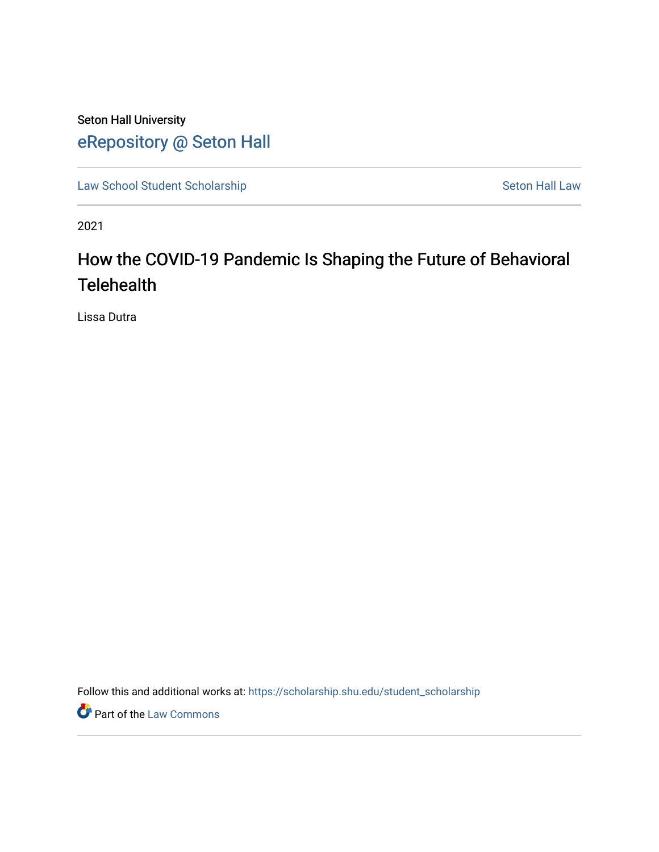## Seton Hall University [eRepository @ Seton Hall](https://scholarship.shu.edu/)

[Law School Student Scholarship](https://scholarship.shu.edu/student_scholarship) Seton Hall Law

2021

# How the COVID-19 Pandemic Is Shaping the Future of Behavioral **Telehealth**

Lissa Dutra

Follow this and additional works at: [https://scholarship.shu.edu/student\\_scholarship](https://scholarship.shu.edu/student_scholarship?utm_source=scholarship.shu.edu%2Fstudent_scholarship%2F1172&utm_medium=PDF&utm_campaign=PDFCoverPages) 

**Part of the [Law Commons](http://network.bepress.com/hgg/discipline/578?utm_source=scholarship.shu.edu%2Fstudent_scholarship%2F1172&utm_medium=PDF&utm_campaign=PDFCoverPages)**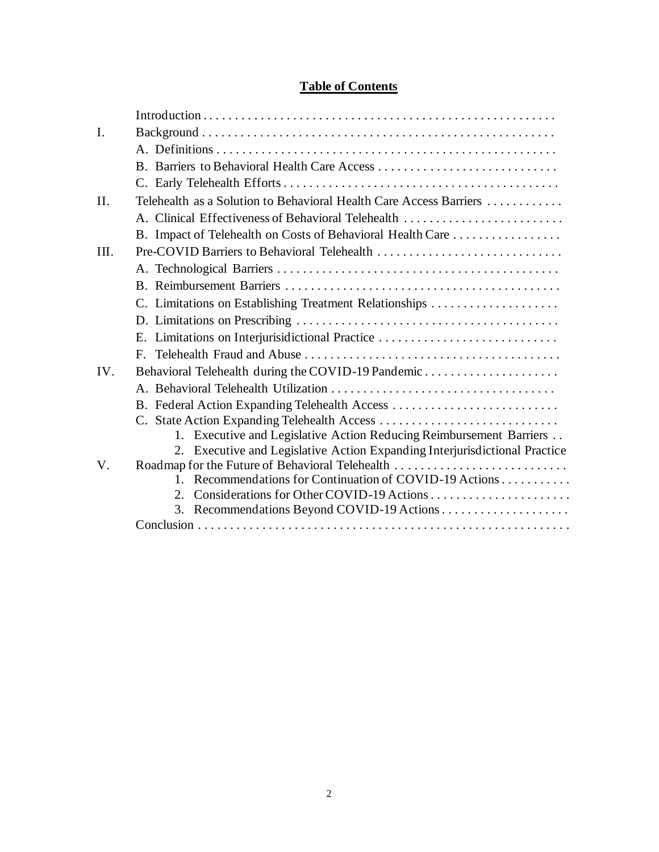## **Table of Contents**

| I.   |                                                                            |
|------|----------------------------------------------------------------------------|
|      |                                                                            |
|      |                                                                            |
|      |                                                                            |
| II.  | Telehealth as a Solution to Behavioral Health Care Access Barriers         |
|      | A. Clinical Effectiveness of Behavioral Telehealth                         |
|      | B. Impact of Telehealth on Costs of Behavioral Health Care                 |
| III. | Pre-COVID Barriers to Behavioral Telehealth                                |
|      |                                                                            |
|      |                                                                            |
|      | C. Limitations on Establishing Treatment Relationships                     |
|      |                                                                            |
|      | E. Limitations on Interjurisidictional Practice                            |
|      | $F_{\perp}$                                                                |
| IV.  | Behavioral Telehealth during the COVID-19 Pandemic                         |
|      |                                                                            |
|      | B. Federal Action Expanding Telehealth Access                              |
|      |                                                                            |
|      | 1. Executive and Legislative Action Reducing Reimbursement Barriers        |
|      | 2. Executive and Legislative Action Expanding Interjurisdictional Practice |
| V.   | Roadmap for the Future of Behavioral Telehealth                            |
|      | Recommendations for Continuation of COVID-19 Actions<br>1                  |
|      | $2^{\circ}$                                                                |
|      |                                                                            |
|      |                                                                            |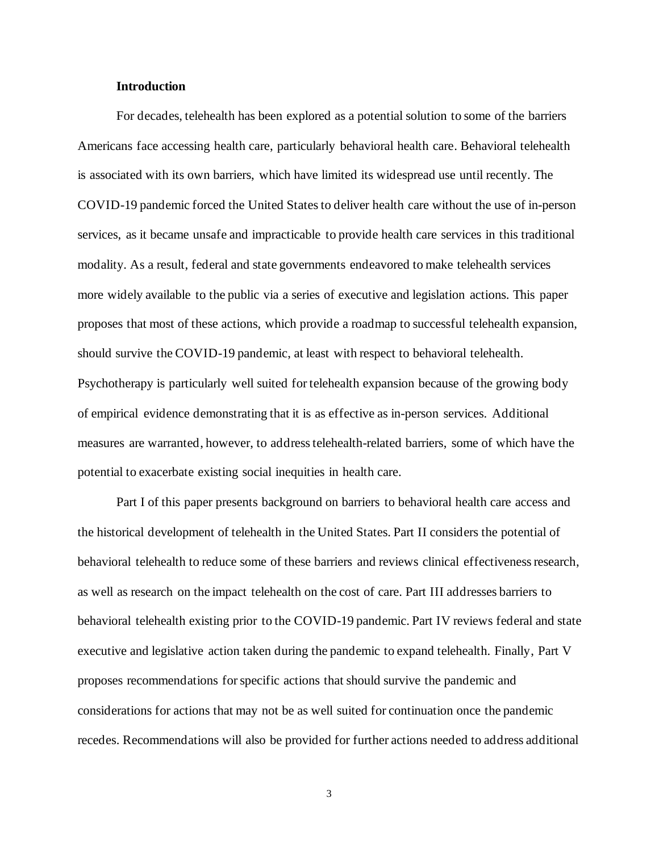#### **Introduction**

For decades, telehealth has been explored as a potential solution to some of the barriers Americans face accessing health care, particularly behavioral health care. Behavioral telehealth is associated with its own barriers, which have limited its widespread use until recently. The COVID-19 pandemic forced the United States to deliver health care without the use of in-person services, as it became unsafe and impracticable to provide health care services in this traditional modality. As a result, federal and state governments endeavored to make telehealth services more widely available to the public via a series of executive and legislation actions. This paper proposes that most of these actions, which provide a roadmap to successful telehealth expansion, should survive the COVID-19 pandemic, at least with respect to behavioral telehealth. Psychotherapy is particularly well suited for telehealth expansion because of the growing body of empirical evidence demonstrating that it is as effective as in-person services. Additional measures are warranted, however, to address telehealth-related barriers, some of which have the potential to exacerbate existing social inequities in health care.

Part I of this paper presents background on barriers to behavioral health care access and the historical development of telehealth in the United States. Part II considers the potential of behavioral telehealth to reduce some of these barriers and reviews clinical effectiveness research, as well as research on the impact telehealth on the cost of care. Part III addresses barriers to behavioral telehealth existing prior to the COVID-19 pandemic. Part IV reviews federal and state executive and legislative action taken during the pandemic to expand telehealth. Finally, Part V proposes recommendations forspecific actions that should survive the pandemic and considerations for actions that may not be as well suited for continuation once the pandemic recedes. Recommendations will also be provided for further actions needed to address additional

3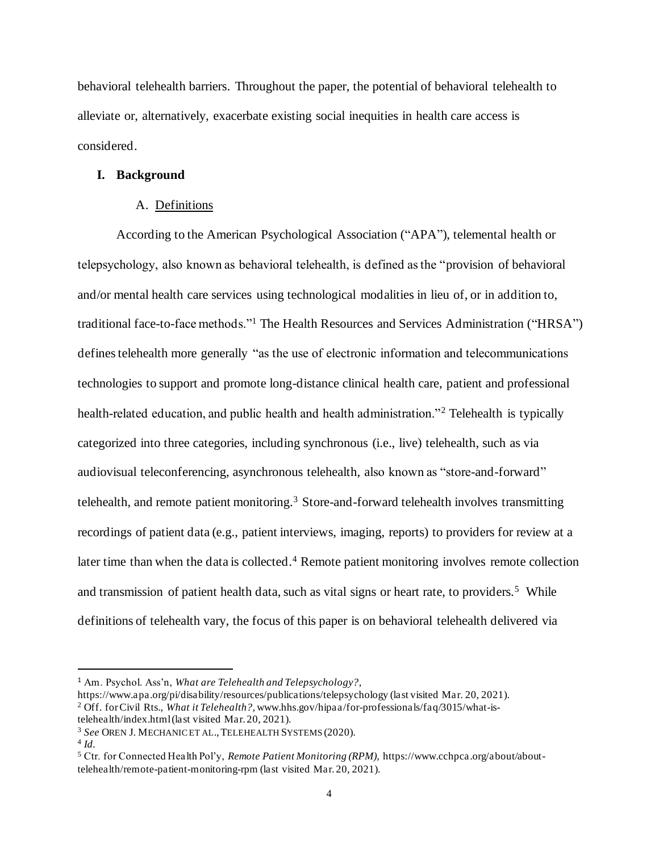behavioral telehealth barriers. Throughout the paper, the potential of behavioral telehealth to alleviate or, alternatively, exacerbate existing social inequities in health care access is considered.

#### **I. Background**

#### A. Definitions

According to the American Psychological Association ("APA"), telemental health or telepsychology, also known as behavioral telehealth, is defined as the "provision of behavioral and/or mental health care services using technological modalities in lieu of, or in addition to, traditional face-to-face methods."<sup>1</sup> The Health Resources and Services Administration ("HRSA") defines telehealth more generally "as the use of electronic information and telecommunications technologies to support and promote long-distance clinical health care, patient and professional health-related education, and public health and health administration."<sup>2</sup> Telehealth is typically categorized into three categories, including synchronous (i.e., live) telehealth, such as via audiovisual teleconferencing, asynchronous telehealth, also known as "store-and-forward" telehealth, and remote patient monitoring.<sup>3</sup> Store-and-forward telehealth involves transmitting recordings of patient data (e.g., patient interviews, imaging, reports) to providers for review at a later time than when the data is collected.<sup>4</sup> Remote patient monitoring involves remote collection and transmission of patient health data, such as vital signs or heart rate, to providers.<sup>5</sup> While definitions of telehealth vary, the focus of this paper is on behavioral telehealth delivered via

<sup>1</sup> Am. Psychol. Ass'n, *What are Telehealth and Telepsychology?,*

https://www.apa.org/pi/disability/resources/publications/telepsychology (last visited Mar. 20, 2021). <sup>2</sup> Off. for Civil Rts., *What it Telehealth?,* www.hhs.gov/hipaa/for-professionals/faq/3015/what-istelehealth/index.html (last visited Mar. 20, 2021).

<sup>3</sup> *See* OREN J. MECHANIC ET AL.,TELEHEALTH SYSTEMS (2020).

<sup>4</sup> *Id.*

<sup>5</sup> Ctr. for Connected Health Pol'y, *Remote Patient Monitoring (RPM),* https://www.cchpca.org/about/abouttelehealth/remote-patient-monitoring-rpm (last visited Mar. 20, 2021).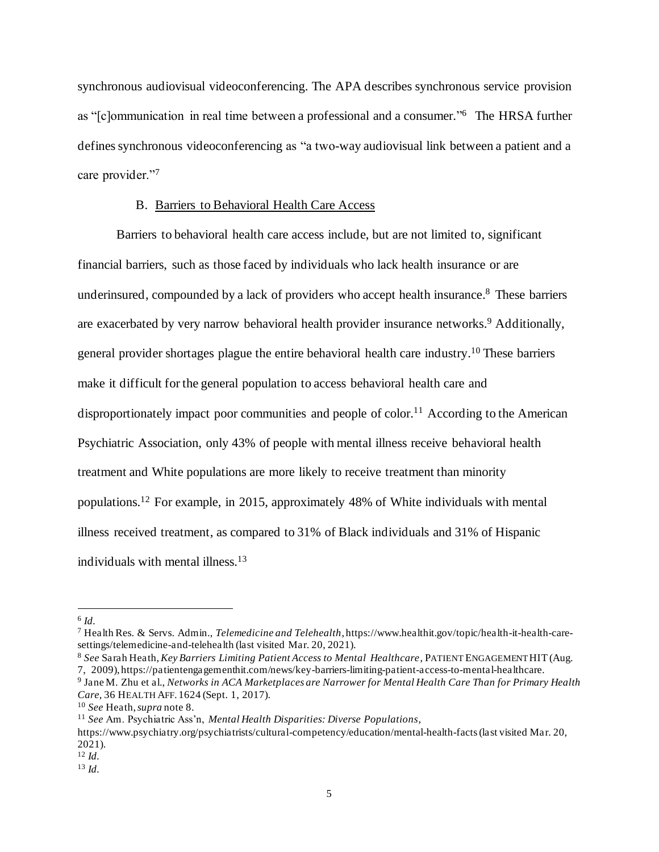synchronous audiovisual videoconferencing. The APA describes synchronous service provision as "[c]ommunication in real time between a professional and a consumer." <sup>6</sup> The HRSA further defines synchronous videoconferencing as "a two-way audiovisual link between a patient and a care provider."7

#### B. Barriers to Behavioral Health Care Access

Barriers to behavioral health care access include, but are not limited to, significant financial barriers, such as those faced by individuals who lack health insurance or are underinsured, compounded by a lack of providers who accept health insurance. <sup>8</sup> These barriers are exacerbated by very narrow behavioral health provider insurance networks. <sup>9</sup> Additionally, general provider shortages plague the entire behavioral health care industry. <sup>10</sup> These barriers make it difficult for the general population to access behavioral health care and disproportionately impact poor communities and people of color.<sup>11</sup> According to the American Psychiatric Association, only 43% of people with mental illness receive behavioral health treatment and White populations are more likely to receive treatment than minority populations.<sup>12</sup> For example, in 2015, approximately 48% of White individuals with mental illness received treatment, as compared to 31% of Black individuals and 31% of Hispanic individuals with mental illness.<sup>13</sup>

<sup>7</sup> Health Res. & Servs. Admin., *Telemedicine and Telehealth*, https://www.healthit.gov/topic/health-it-health-caresettings/telemedicine-and-telehealth (last visited Mar. 20, 2021).

<sup>8</sup> *See* Sarah Heath, *Key Barriers Limiting Patient Access to Mental Healthcare*, PATIENT ENGAGEMENT HIT (Aug. 7, 2009), https://patientengagementhit.com/news/key-barriers-limiting-patient-access-to-mental-healthcare.

<sup>6</sup> *Id.*

<sup>9</sup> Jane M. Zhu et al., *Networks in ACA Marketplaces are Narrower for Mental Health Care Than for Primary Health Care*, 36 HEALTH AFF. 1624 (Sept. 1, 2017).

<sup>10</sup> *See* Heath, *supra* note 8.

<sup>11</sup> *See* Am. Psychiatric Ass'n, *Mental Health Disparities: Diverse Populations*,

https://www.psychiatry.org/psychiatrists/cultural-competency/education/mental-health-facts (last visited Mar. 20, 2021).

<sup>12</sup> *Id.*

<sup>13</sup> *Id.*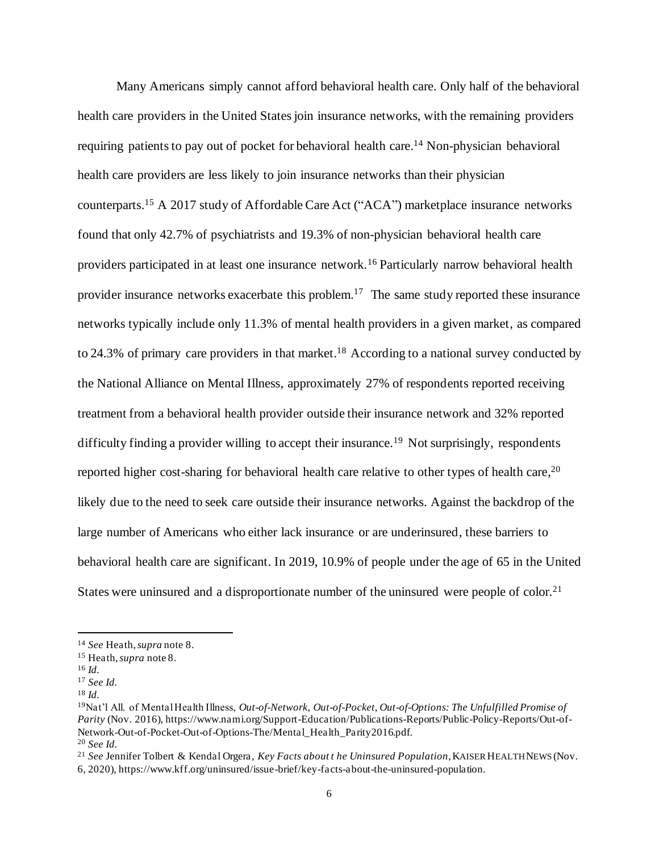Many Americans simply cannot afford behavioral health care. Only half of the behavioral health care providers in the United States join insurance networks, with the remaining providers requiring patients to pay out of pocket for behavioral health care.<sup>14</sup> Non-physician behavioral health care providers are less likely to join insurance networks than their physician counterparts. <sup>15</sup> A 2017 study of Affordable Care Act ("ACA") marketplace insurance networks found that only 42.7% of psychiatrists and 19.3% of non-physician behavioral health care providers participated in at least one insurance network.<sup>16</sup> Particularly narrow behavioral health provider insurance networks exacerbate this problem.<sup>17</sup> The same study reported these insurance networks typically include only 11.3% of mental health providers in a given market, as compared to 24.3% of primary care providers in that market.<sup>18</sup> According to a national survey conducted by the National Alliance on Mental Illness, approximately 27% of respondents reported receiving treatment from a behavioral health provider outside their insurance network and 32% reported difficulty finding a provider willing to accept their insurance.<sup>19</sup> Not surprisingly, respondents reported higher cost-sharing for behavioral health care relative to other types of health care,<sup>20</sup> likely due to the need to seek care outside their insurance networks. Against the backdrop of the large number of Americans who either lack insurance or are underinsured, these barriers to behavioral health care are significant. In 2019, 10.9% of people under the age of 65 in the United States were uninsured and a disproportionate number of the uninsured were people of color.<sup>21</sup>

<sup>14</sup> *See* Heath, *supra* note 8.

<sup>15</sup> Heath, *supra* note 8.

<sup>16</sup> *Id.*

<sup>17</sup> *See Id.*

<sup>18</sup> *Id.*

<sup>19</sup>Nat'l All. of Mental Health Illness, *Out-of-Network, Out-of-Pocket, Out-of-Options: The Unfulfilled Promise of Parity* (Nov. 2016), https://www.nami.org/Support-Education/Publications-Reports/Public-Policy-Reports/Out-of-Network-Out-of-Pocket-Out-of-Options-The/Mental\_Health\_Parity2016.pdf. <sup>20</sup> *See Id.*

<sup>21</sup> *See* Jennifer Tolbert & Kendal Orgera, *Key Facts about t he Uninsured Population*, KAISER HEALTH NEWS (Nov.

<sup>6, 2020),</sup> https://www.kff.org/uninsured/issue-brief/key-facts-about-the-uninsured-population.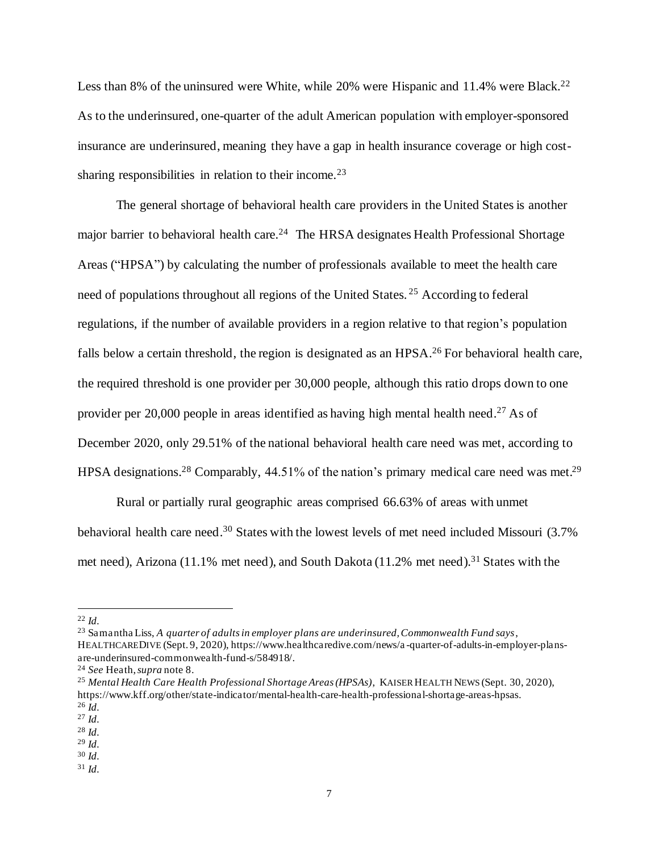Less than 8% of the uninsured were White, while 20% were Hispanic and 11.4% were Black.<sup>22</sup> As to the underinsured, one-quarter of the adult American population with employer-sponsored insurance are underinsured, meaning they have a gap in health insurance coverage or high costsharing responsibilities in relation to their income.<sup>23</sup>

The general shortage of behavioral health care providers in the United States is another major barrier to behavioral health care.<sup>24</sup> The HRSA designates Health Professional Shortage Areas ("HPSA") by calculating the number of professionals available to meet the health care need of populations throughout all regions of the United States. <sup>25</sup> According to federal regulations, if the number of available providers in a region relative to that region's population falls below a certain threshold, the region is designated as an HPSA.<sup>26</sup> For behavioral health care, the required threshold is one provider per 30,000 people, although this ratio drops down to one provider per 20,000 people in areas identified as having high mental health need.<sup>27</sup> As of December 2020, only 29.51% of the national behavioral health care need was met, according to HPSA designations.<sup>28</sup> Comparably, 44.51% of the nation's primary medical care need was met.<sup>29</sup>

Rural or partially rural geographic areas comprised 66.63% of areas with unmet behavioral health care need.<sup>30</sup> States with the lowest levels of met need included Missouri (3.7% met need), Arizona (11.1% met need), and South Dakota (11.2% met need).<sup>31</sup> States with the

<sup>23</sup> Samantha Liss, *A quarter of adults in employer plans are underinsured, Commonwealth Fund says*, HEALTHCAREDIVE (Sept. 9, 2020), https://www.healthcaredive.com/news/a -quarter-of-adults-in-employer-plansare-underinsured-commonwealth-fund-s/584918/.

<sup>22</sup> *Id.*

<sup>24</sup> *See* Heath, *supra* note 8.

<sup>25</sup> *Mental Health Care Health Professional Shortage Areas (HPSAs)*, KAISER HEALTH NEWS (Sept. 30, 2020), https://www.kff.org/other/state-indicator/mental-health-care-health-professional-shortage-areas-hpsas. <sup>26</sup> *Id.*

<sup>27</sup> *Id.*

<sup>28</sup> *Id.*

<sup>29</sup> *Id.*

<sup>30</sup> *Id.*

<sup>31</sup> *Id.*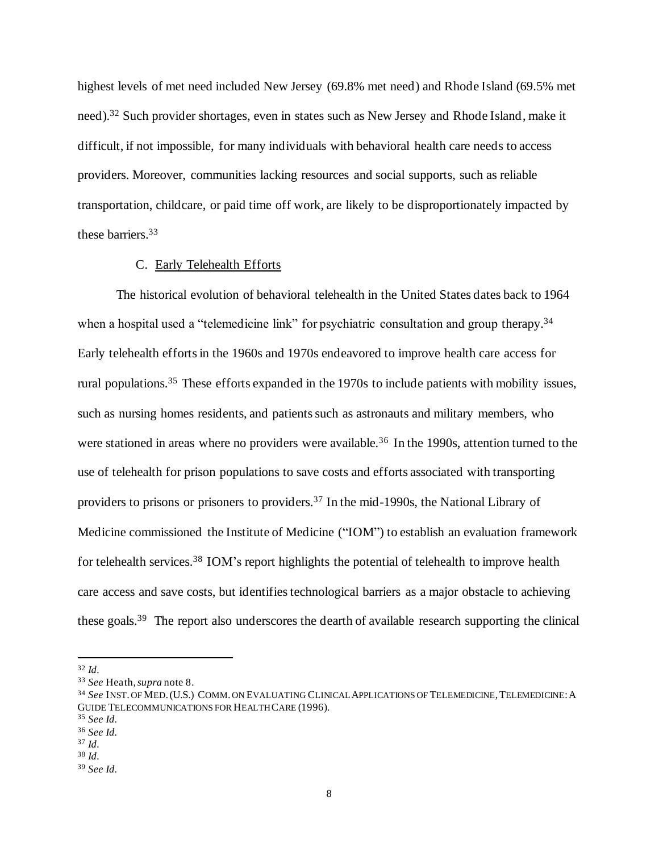highest levels of met need included New Jersey (69.8% met need) and Rhode Island (69.5% met need).<sup>32</sup> Such provider shortages, even in states such as New Jersey and Rhode Island, make it difficult, if not impossible, for many individuals with behavioral health care needs to access providers. Moreover, communities lacking resources and social supports, such as reliable transportation, childcare, or paid time off work, are likely to be disproportionately impacted by these barriers. 33

#### C. Early Telehealth Efforts

The historical evolution of behavioral telehealth in the United States dates back to 1964 when a hospital used a "telemedicine link" for psychiatric consultation and group therapy.<sup>34</sup> Early telehealth efforts in the 1960s and 1970s endeavored to improve health care access for rural populations.<sup>35</sup> These efforts expanded in the 1970s to include patients with mobility issues, such as nursing homes residents, and patients such as astronauts and military members, who were stationed in areas where no providers were available.<sup>36</sup> In the 1990s, attention turned to the use of telehealth for prison populations to save costs and efforts associated with transporting providers to prisons or prisoners to providers.<sup>37</sup> In the mid-1990s, the National Library of Medicine commissioned the Institute of Medicine ("IOM") to establish an evaluation framework for telehealth services.<sup>38</sup> IOM's report highlights the potential of telehealth to improve health care access and save costs, but identifies technological barriers as a major obstacle to achieving these goals.<sup>39</sup> The report also underscores the dearth of available research supporting the clinical

<sup>32</sup> *Id.*

<sup>33</sup> *See* Heath, *supra* note 8.

<sup>34</sup> *See* INST. OF MED.(U.S.) COMM. ON EVALUATING CLINICAL APPLICATIONS OF TELEMEDICINE,TELEMEDICINE:A GUIDE TELECOMMUNICATIONS FOR HEALTH CARE (1996).

<sup>35</sup> *See Id.*

<sup>36</sup> *See Id.*

<sup>37</sup> *Id.*

<sup>38</sup> *Id.*

<sup>39</sup> *See Id.*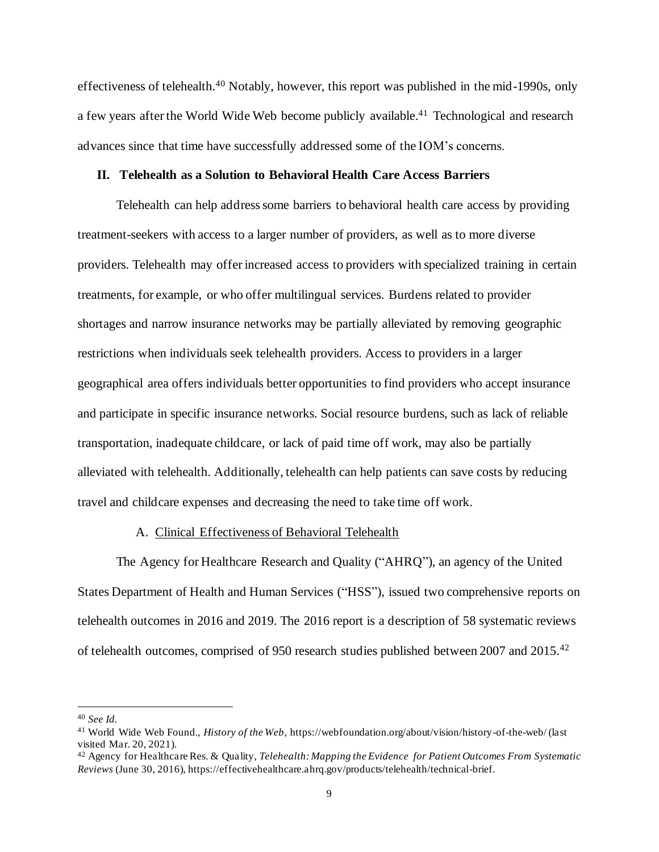effectiveness of telehealth.<sup>40</sup> Notably, however, this report was published in the mid-1990s, only a few years after the World Wide Web become publicly available.<sup>41</sup> Technological and research advances since that time have successfully addressed some of the IOM's concerns.

#### **II. Telehealth as a Solution to Behavioral Health Care Access Barriers**

Telehealth can help address some barriers to behavioral health care access by providing treatment-seekers with access to a larger number of providers, as well as to more diverse providers. Telehealth may offer increased access to providers with specialized training in certain treatments, for example, or who offer multilingual services. Burdens related to provider shortages and narrow insurance networks may be partially alleviated by removing geographic restrictions when individuals seek telehealth providers. Access to providers in a larger geographical area offers individuals better opportunities to find providers who accept insurance and participate in specific insurance networks. Social resource burdens, such as lack of reliable transportation, inadequate childcare, or lack of paid time off work, may also be partially alleviated with telehealth. Additionally, telehealth can help patients can save costs by reducing travel and childcare expenses and decreasing the need to take time off work.

#### A. Clinical Effectiveness of Behavioral Telehealth

The Agency for Healthcare Research and Quality ("AHRQ"), an agency of the United States Department of Health and Human Services ("HSS"), issued two comprehensive reports on telehealth outcomes in 2016 and 2019. The 2016 report is a description of 58 systematic reviews of telehealth outcomes, comprised of 950 research studies published between 2007 and 2015.<sup>42</sup>

<sup>40</sup> *See Id.*

<sup>41</sup> World Wide Web Found., *History of the Web*, https://webfoundation.org/about/vision/history-of-the-web/ (last visited Mar. 20, 2021).

<sup>42</sup> Agency for Healthcare Res. & Quality, *Telehealth: Mapping the Evidence for Patient Outcomes From Systematic Reviews* (June 30, 2016), https://effectivehealthcare.ahrq.gov/products/telehealth/technical-brief.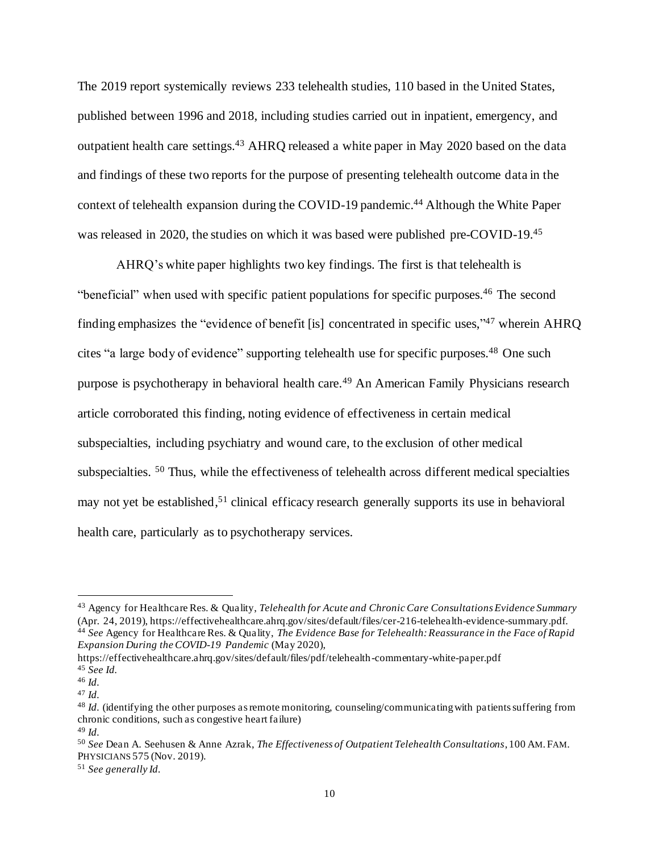The 2019 report systemically reviews 233 telehealth studies, 110 based in the United States, published between 1996 and 2018, including studies carried out in inpatient, emergency, and outpatient health care settings.<sup>43</sup> AHRQ released a white paper in May 2020 based on the data and findings of these two reports for the purpose of presenting telehealth outcome data in the context of telehealth expansion during the COVID-19 pandemic. <sup>44</sup> Although the White Paper was released in 2020, the studies on which it was based were published pre-COVID-19.<sup>45</sup>

AHRQ's white paper highlights two key findings. The first is that telehealth is "beneficial" when used with specific patient populations for specific purposes.<sup>46</sup> The second finding emphasizes the "evidence of benefit [is] concentrated in specific uses,"<sup>47</sup> wherein AHRQ cites "a large body of evidence" supporting telehealth use for specific purposes.<sup>48</sup> One such purpose is psychotherapy in behavioral health care.<sup>49</sup> An American Family Physicians research article corroborated this finding, noting evidence of effectiveness in certain medical subspecialties, including psychiatry and wound care, to the exclusion of other medical subspecialties. <sup>50</sup> Thus, while the effectiveness of telehealth across different medical specialties may not yet be established,<sup>51</sup> clinical efficacy research generally supports its use in behavioral health care, particularly as to psychotherapy services.

<sup>43</sup> Agency for Healthcare Res. & Quality, *Telehealth for Acute and Chronic Care Consultations Evidence Summary* (Apr. 24, 2019), https://effectivehealthcare.ahrq.gov/sites/default/files/cer-216-telehealth-evidence-summary.pdf. <sup>44</sup> *See* Agency for Healthcare Res. & Quality, *The Evidence Base for Telehealth: Reassurance in the Face of Rapid Expansion During the COVID-19 Pandemic* (May 2020),

https://effectivehealthcare.ahrq.gov/sites/default/files/pdf/telehealth-commentary-white-paper.pdf <sup>45</sup> *See Id.*

<sup>46</sup> *Id.*

<sup>47</sup> *Id.*

<sup>48</sup> *Id.* (identifying the other purposes as remote monitoring, counseling/communicating with patients suffering from chronic conditions, such as congestive heart failure) <sup>49</sup> *Id.*

<sup>50</sup> *See* Dean A. Seehusen & Anne Azrak, *The Effectiveness of Outpatient Telehealth Consultations*, 100 AM.FAM. PHYSICIANS 575 (Nov. 2019).

<sup>51</sup> *See generally Id.*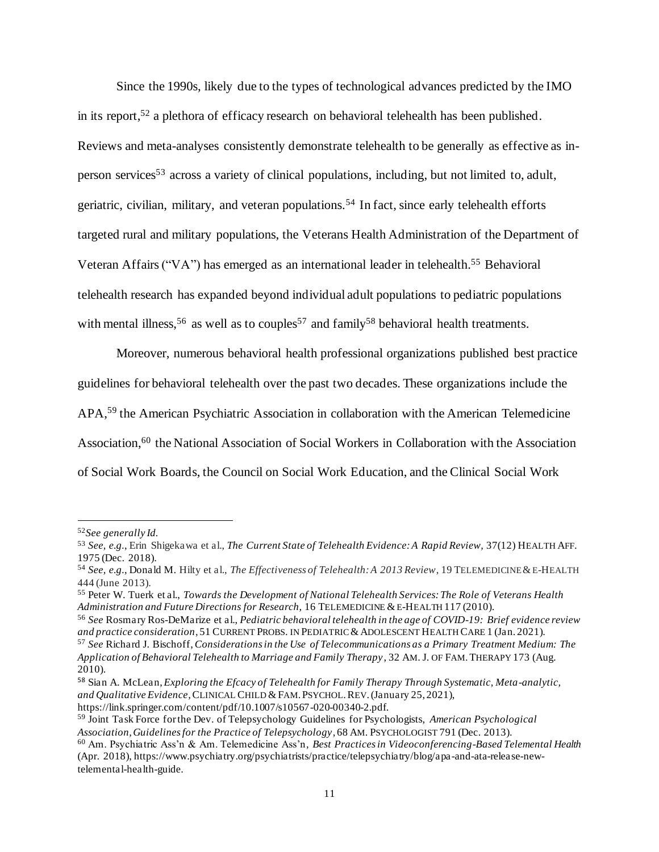Since the 1990s, likely due to the types of technological advances predicted by the IMO in its report,<sup>52</sup> a plethora of efficacy research on behavioral telehealth has been published. Reviews and meta-analyses consistently demonstrate telehealth to be generally as effective as inperson services<sup>53</sup> across a variety of clinical populations, including, but not limited to, adult, geriatric, civilian, military, and veteran populations.<sup>54</sup> In fact, since early telehealth efforts targeted rural and military populations, the Veterans Health Administration of the Department of Veteran Affairs ("VA") has emerged as an international leader in telehealth.<sup>55</sup> Behavioral telehealth research has expanded beyond individual adult populations to pediatric populations with mental illness,<sup>56</sup> as well as to couples<sup>57</sup> and family<sup>58</sup> behavioral health treatments.

Moreover, numerous behavioral health professional organizations published best practice guidelines for behavioral telehealth over the past two decades. These organizations include the APA, <sup>59</sup> the American Psychiatric Association in collaboration with the American Telemedicine Association,<sup>60</sup> the National Association of Social Workers in Collaboration with the Association of Social Work Boards, the Council on Social Work Education, and the Clinical Social Work

<sup>52</sup>*See generally Id.*

<sup>53</sup> *See, e.g.*, Erin Shigekawa et al., *The Current State of Telehealth Evidence: A Rapid Review,* 37(12) HEALTH AFF. 1975 (Dec. 2018).

<sup>54</sup> *See, e.g.*, Donald M. Hilty et al., *The Effectiveness of Telehealth: A 2013 Review*, 19 TELEMEDICINE &E-HEALTH 444 (June 2013).

<sup>55</sup> Peter W. Tuerk et al., *Towards the Development of National Telehealth Services: The Role of Veterans Health Administration and Future Directions for Research,* 16 TELEMEDICINE &E-HEALTH 117 (2010).

<sup>56</sup> *See* Rosmary Ros-DeMarize et al., *Pediatric behavioral telehealth in the age of COVID-19: Brief evidence review and practice consideration*, 51 CURRENT PROBS. IN PEDIATRIC &ADOLESCENT HEALTH CARE 1 (Jan. 2021).

<sup>57</sup> *See* Richard J. Bischoff, *Considerations in the Use of Telecommunications as a Primary Treatment Medium: The Application of Behavioral Telehealth to Marriage and Family Therapy*, 32 AM. J. OF FAM.THERAPY 173 (Aug. 2010).

<sup>58</sup> Sian A. McLean, *Exploring the Efcacy of Telehealth for Family Therapy Through Systematic, Meta-analytic, and Qualitative Evidence,*CLINICAL CHILD &FAM.PSYCHOL.REV.(January 25, 2021),

https://link.springer.com/content/pdf/10.1007/s10567-020-00340-2.pdf.

<sup>59</sup> Joint Task Force for the Dev. of Telepsychology Guidelines for Psychologists, *American Psychological Association, Guidelines for the Practice of Telepsychology*, 68 AM. PSYCHOLOGIST 791 (Dec. 2013).

<sup>60</sup> Am. Psychiatric Ass'n & Am. Telemedicine Ass'n*, Best Practices in Videoconferencing-Based Telemental Health* (Apr. 2018), https://www.psychiatry.org/psychiatrists/practice/telepsychiatry/blog/apa-and-ata-release-newtelemental-health-guide.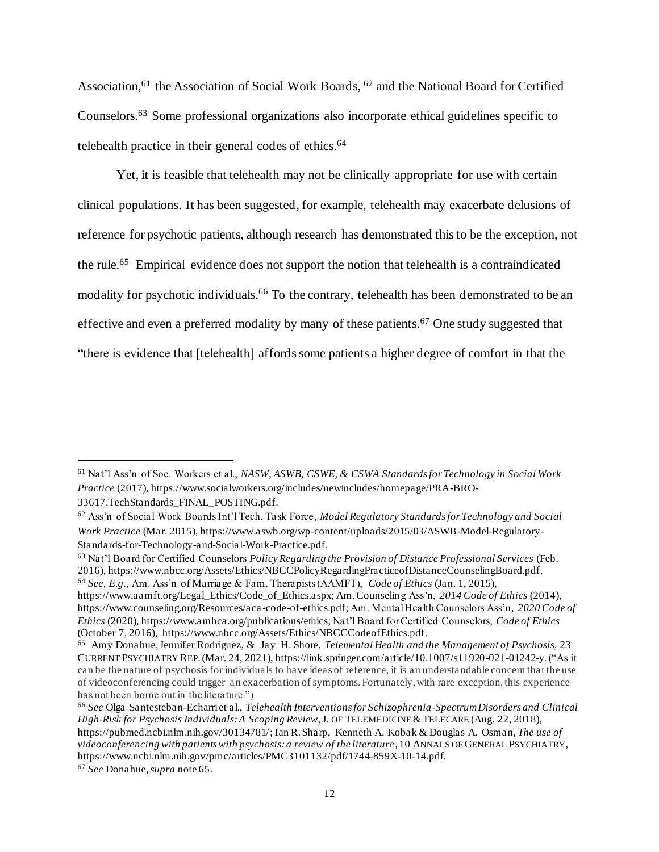Association,<sup>61</sup> the Association of Social Work Boards, <sup>62</sup> and the National Board for Certified Counselors.<sup>63</sup> Some professional organizations also incorporate ethical guidelines specific to telehealth practice in their general codes of ethics. 64

Yet, it is feasible that telehealth may not be clinically appropriate for use with certain clinical populations. It has been suggested, for example, telehealth may exacerbate delusions of reference for psychotic patients, although research has demonstrated this to be the exception, not the rule.<sup>65</sup> Empirical evidence does not support the notion that telehealth is a contraindicated modality for psychotic individuals.<sup>66</sup> To the contrary, telehealth has been demonstrated to be an effective and even a preferred modality by many of these patients.<sup>67</sup> One study suggested that "there is evidence that [telehealth] affords some patients a higher degree of comfort in that the

<sup>64</sup> *See, E.g.,* Am. Ass'n of Marriage & Fam. Therapists (AAMFT), *Code of Ethics* (Jan. 1, 2015),

<sup>67</sup> *See* Donahue, *supra* note 65.

<sup>61</sup> Nat'l Ass'n of Soc. Workers et al., *NASW, ASWB, CSWE, & CSWA Standards for Technology in Social Work Practice* (2017), https://www.socialworkers.org/includes/newincludes/homepage/PRA-BRO-33617.TechStandards\_FINAL\_POSTING.pdf.

<sup>62</sup> Ass'n of Social Work Boards Int'l Tech. Task Force*, Model Regulatory Standards for Technology and Social Work Practice* (Mar. 2015), https://www.aswb.org/wp-content/uploads/2015/03/ASWB-Model-Regulatory-Standards-for-Technology-and-Social-Work-Practice.pdf.

<sup>63</sup> Nat'l Board for Certified Counselors *Policy Regarding the Provision of Distance Professional Services* (Feb. 2016), https://www.nbcc.org/Assets/Ethics/NBCCPolicyRegardingPracticeofDistanceCounselingBoard.pdf.

https://www.aamft.org/Legal\_Ethics/Code\_of\_Ethics.aspx; Am. Counseling Ass'n, *2014 Code of Ethics* (2014), https://www.counseling.org/Resources/aca -code-of-ethics.pdf; Am. Mental Health Counselors Ass'n, *2020 Code of Ethics* (2020), https://www.amhca.org/publications/ethics; Nat'l Board for Certified Counselors, *Code of Ethics* (October 7, 2016), https://www.nbcc.org/Assets/Ethics/NBCCCodeofEthics.pdf.

<sup>65</sup> Amy Donahue, Jennifer Rodriguez, & Jay H. Shore, *Telemental Health and the Management of Psychosis,* 23 CURRENT PSYCHIATRY REP.(Mar. 24, 2021), https://link.springer.com/article/10.1007/s11920-021-01242-y. ("As it can be the nature of psychosis for individuals to have ideas of reference, it is an understandable concern that the use of videoconferencing could trigger an exacerbation of symptoms. Fortunately, with rare exception, this experience has not been borne out in the literature.")

<sup>66</sup> *See* Olga Santesteban-Echarri et al., *Telehealth Interventions for Schizophrenia-Spectrum Disorders and Clinical High-Risk for Psychosis Individuals: A Scoping Review,* J. OF TELEMEDICINE &TELECARE (Aug. 22, 2018), https://pubmed.ncbi.nlm.nih.gov/30134781/; Ian R. Sharp, Kenneth A. Kobak & Douglas A. Osman, *The use of videoconferencing with patients with psychosis: a review of the literature,* 10 ANNALS OF GENERAL PSYCHIATRY, https://www.ncbi.nlm.nih.gov/pmc/articles/PMC3101132/pdf/1744-859X-10-14.pdf.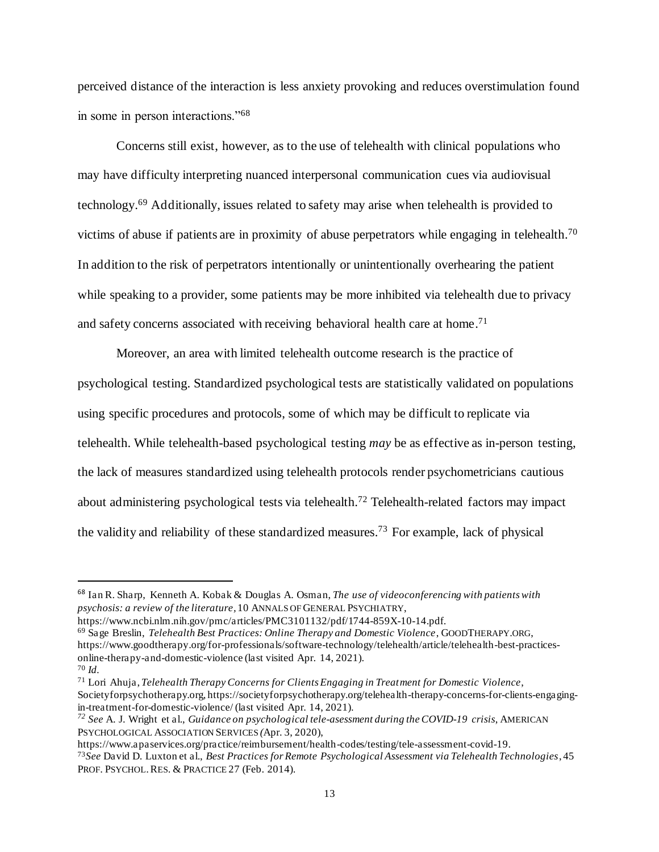perceived distance of the interaction is less anxiety provoking and reduces overstimulation found in some in person interactions."<sup>68</sup>

Concerns still exist, however, as to the use of telehealth with clinical populations who may have difficulty interpreting nuanced interpersonal communication cues via audiovisual technology.<sup>69</sup> Additionally, issues related to safety may arise when telehealth is provided to victims of abuse if patients are in proximity of abuse perpetrators while engaging in telehealth.<sup>70</sup> In addition to the risk of perpetrators intentionally or unintentionally overhearing the patient while speaking to a provider, some patients may be more inhibited via telehealth due to privacy and safety concerns associated with receiving behavioral health care at home.<sup>71</sup>

Moreover, an area with limited telehealth outcome research is the practice of psychological testing. Standardized psychological tests are statistically validated on populations using specific procedures and protocols, some of which may be difficult to replicate via telehealth. While telehealth-based psychological testing *may* be as effective as in-person testing, the lack of measures standardized using telehealth protocols render psychometricians cautious about administering psychological tests via telehealth.<sup>72</sup> Telehealth-related factors may impact the validity and reliability of these standardized measures.<sup>73</sup> For example, lack of physical

<sup>68</sup> Ian R. Sharp, Kenneth A. Kobak & Douglas A. Osman, *The use of videoconferencing with patients with psychosis: a review of the literature,* 10 ANNALS OF GENERAL PSYCHIATRY,

https://www.ncbi.nlm.nih.gov/pmc/articles/PMC3101132/pdf/1744-859X-10-14.pdf. <sup>69</sup> Sage Breslin, *Telehealth Best Practices: Online Therapy and Domestic Violence*, GOODTHERAPY.ORG, https://www.goodtherapy.org/for-professionals/software-technology/telehealth/article/telehealth-best-practicesonline-therapy-and-domestic-violence (last visited Apr. 14, 2021). <sup>70</sup> *Id.*

<sup>71</sup> Lori Ahuja, *Telehealth Therapy Concerns for Clients Engaging in Treatment for Domestic Violence*, Societyforpsychotherapy.org, https://societyforpsychotherapy.org/telehealth-therapy-concerns-for-clients-engagingin-treatment-for-domestic-violence/ (last visited Apr. 14, 2021).

*<sup>72</sup> See* A. J. Wright et al., *Guidance on psychological tele-asessment during the COVID-19 crisis*, AMERICAN PSYCHOLOGICAL ASSOCIATION SERVICES *(*Apr. 3, 2020),

https://www.apaservices.org/practice/reimbursement/health-codes/testing/tele-assessment-covid-19. <sup>73</sup>*See* David D. Luxton et al., *Best Practices for Remote Psychological Assessment via Telehealth Technologies*, 45 PROF. PSYCHOL. RES. & PRACTICE 27 (Feb. 2014).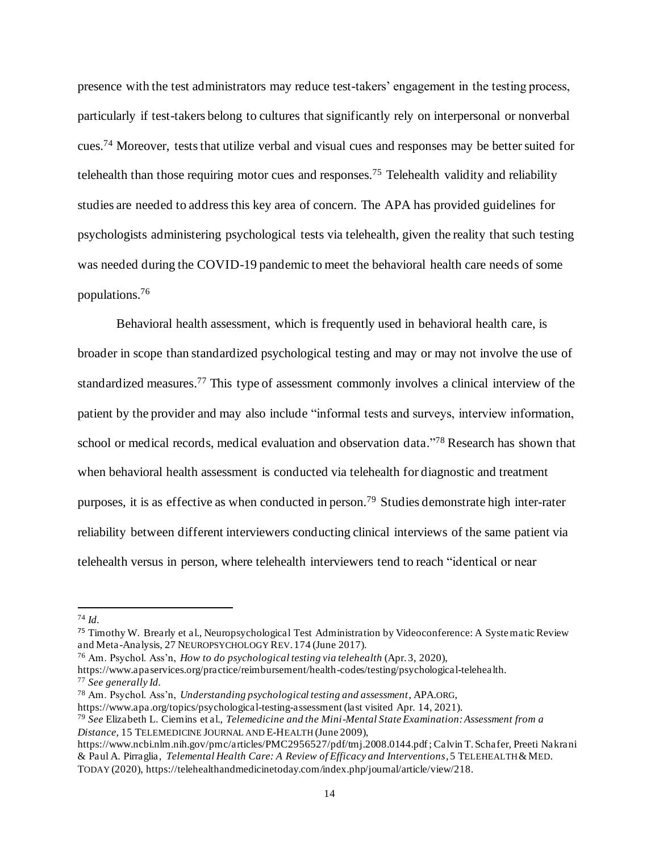presence with the test administrators may reduce test-takers' engagement in the testing process, particularly if test-takers belong to cultures that significantly rely on interpersonal or nonverbal cues.<sup>74</sup> Moreover, tests that utilize verbal and visual cues and responses may be better suited for telehealth than those requiring motor cues and responses.<sup>75</sup> Telehealth validity and reliability studies are needed to address this key area of concern. The APA has provided guidelines for psychologists administering psychological tests via telehealth, given the reality that such testing was needed during the COVID-19 pandemic to meet the behavioral health care needs of some populations. 76

Behavioral health assessment, which is frequently used in behavioral health care, is broader in scope than standardized psychological testing and may or may not involve the use of standardized measures.<sup>77</sup> This type of assessment commonly involves a clinical interview of the patient by the provider and may also include "informal tests and surveys, interview information, school or medical records, medical evaluation and observation data." <sup>78</sup> Research has shown that when behavioral health assessment is conducted via telehealth for diagnostic and treatment purposes, it is as effective as when conducted in person.<sup>79</sup> Studies demonstrate high inter-rater reliability between different interviewers conducting clinical interviews of the same patient via telehealth versus in person, where telehealth interviewers tend to reach "identical or near

<sup>74</sup> *Id.*

<sup>75</sup> Timothy W. Brearly et al., Neuropsychological Test Administration by Videoconference: A Systematic Review and Meta-Analysis, 27 NEUROPSYCHOLOGY REV. 174 (June 2017).

<sup>76</sup> Am. Psychol. Ass'n, *How to do psychological testing via telehealth* (Apr. 3, 2020),

https://www.apaservices.org/practice/reimbursement/health-codes/testing/psychological-telehealth. <sup>77</sup> *See generally Id.*

<sup>78</sup> Am. Psychol. Ass'n, *Understanding psychological testing and assessment*, APA.ORG,

https://www.apa.org/topics/psychological-testing-assessment (last visited Apr. 14, 2021).

<sup>79</sup> *See* Elizabeth L. Ciemins et al., *Telemedicine and the Mini-Mental State Examination: Assessment from a Distance,* 15 TELEMEDICINE JOURNAL AND E-HEALTH (June 2009),

https://www.ncbi.nlm.nih.gov/pmc/articles/PMC2956527/pdf/tmj.2008.0144.pdf; Calvin T. Schafer, Preeti Nakrani & Paul A. Pirraglia, *Telemental Health Care: A Review of Efficacy and Interventions*, 5 TELEHEALTH &MED. TODAY (2020), https://telehealthandmedicinetoday.com/index.php/journal/article/view/218.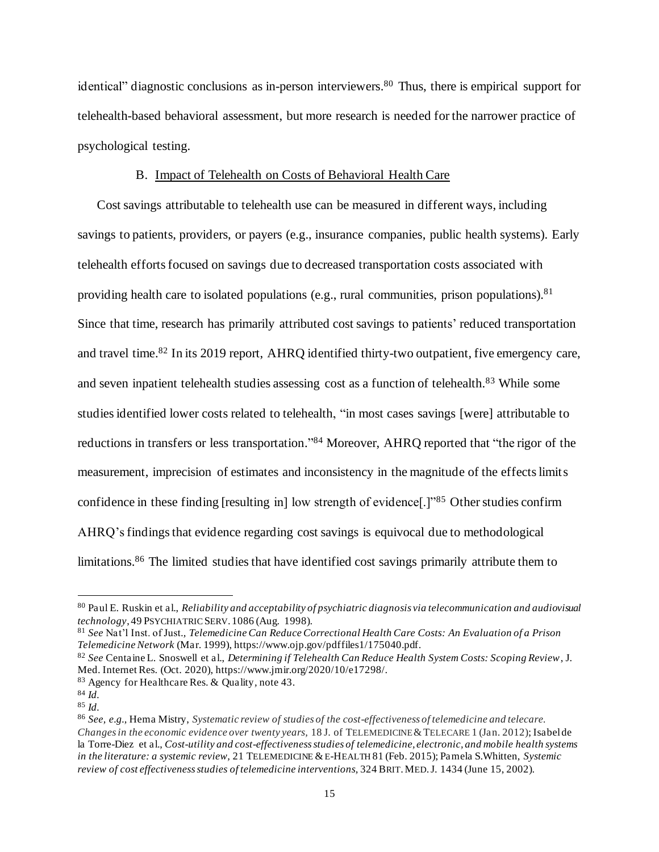identical" diagnostic conclusions as in-person interviewers.<sup>80</sup> Thus, there is empirical support for telehealth-based behavioral assessment, but more research is needed for the narrower practice of psychological testing.

#### B. Impact of Telehealth on Costs of Behavioral Health Care

Cost savings attributable to telehealth use can be measured in different ways, including savings to patients, providers, or payers (e.g., insurance companies, public health systems). Early telehealth efforts focused on savings due to decreased transportation costs associated with providing health care to isolated populations (e.g., rural communities, prison populations).<sup>81</sup> Since that time, research has primarily attributed cost savings to patients' reduced transportation and travel time.<sup>82</sup> In its 2019 report, AHRQ identified thirty-two outpatient, five emergency care, and seven inpatient telehealth studies assessing cost as a function of telehealth.<sup>83</sup> While some studies identified lower costs related to telehealth, "in most cases savings [were] attributable to reductions in transfers or less transportation."<sup>84</sup> Moreover, AHRQ reported that "the rigor of the measurement, imprecision of estimates and inconsistency in the magnitude of the effects limits confidence in these finding [resulting in] low strength of evidence[.]"<sup>85</sup> Other studies confirm AHRQ's findings that evidence regarding cost savings is equivocal due to methodological limitations.<sup>86</sup> The limited studies that have identified cost savings primarily attribute them to

<sup>80</sup> Paul E. Ruskin et al., *Reliability and acceptability of psychiatric diagnosis via telecommunication and audiovisual technology*, 49 PSYCHIATRICSERV. 1086 (Aug. 1998).

<sup>81</sup> *See* Nat'l Inst. of Just*., Telemedicine Can Reduce Correctional Health Care Costs: An Evaluation of a Prison Telemedicine Network* (Mar. 1999), https://www.ojp.gov/pdffiles1/175040.pdf.

<sup>82</sup> *See* Centaine L. Snoswell et al., *Determining if Telehealth Can Reduce Health System Costs: Scoping Review*, J. Med. Internet Res. (Oct. 2020), https://www.jmir.org/2020/10/e17298/.

<sup>83</sup> Agency for Healthcare Res. & Quality*,* note 43.

<sup>84</sup> *Id.*

<sup>85</sup> *Id.*

<sup>86</sup> *See, e.g.,* Hema Mistry, *Systematic review of studies of the cost-effectiveness of telemedicine and telecare. Changes in the economic evidence over twenty years,* 18 J. of TELEMEDICINE &TELECARE 1 (Jan. 2012); Isabel de la Torre-Diez et al., *Cost-utility and cost-effectiveness studies of telemedicine, electronic, and mobile health systems in the literature: a systemic review,* 21 TELEMEDICINE &E-HEALTH 81 (Feb. 2015); Pamela S.Whitten, *Systemic review of cost effectiveness studies of telemedicine interventions,* 324 BRIT.MED.J. 1434 (June 15, 2002).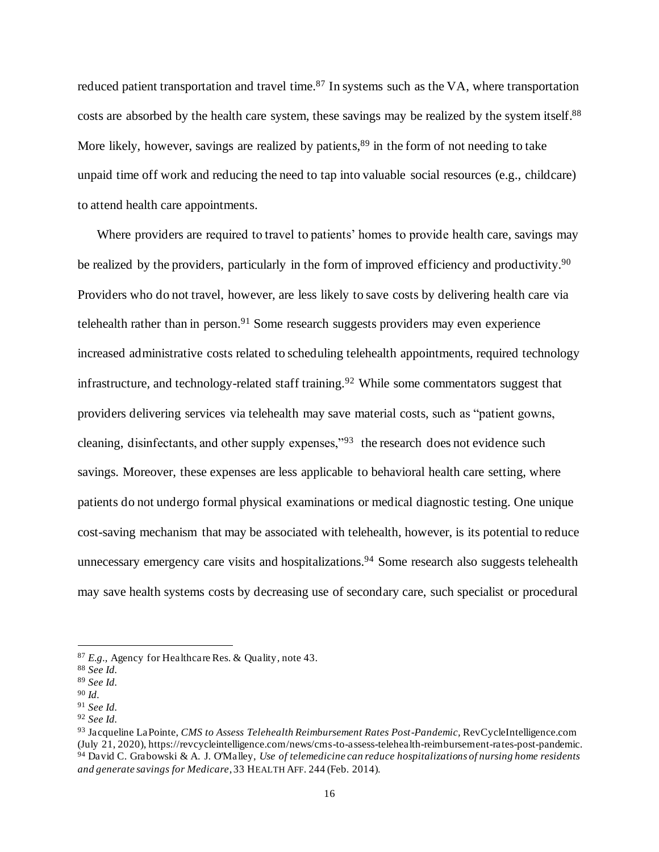reduced patient transportation and travel time.<sup>87</sup> In systems such as the VA, where transportation costs are absorbed by the health care system, these savings may be realized by the system itself.<sup>88</sup> More likely, however, savings are realized by patients,<sup>89</sup> in the form of not needing to take unpaid time off work and reducing the need to tap into valuable social resources (e.g., childcare) to attend health care appointments.

Where providers are required to travel to patients' homes to provide health care, savings may be realized by the providers, particularly in the form of improved efficiency and productivity.<sup>90</sup> Providers who do not travel, however, are less likely to save costs by delivering health care via telehealth rather than in person.<sup>91</sup> Some research suggests providers may even experience increased administrative costs related to scheduling telehealth appointments, required technology infrastructure, and technology-related staff training.<sup>92</sup> While some commentators suggest that providers delivering services via telehealth may save material costs, such as "patient gowns, cleaning, disinfectants, and other supply expenses,"<sup>93</sup> the research does not evidence such savings. Moreover, these expenses are less applicable to behavioral health care setting, where patients do not undergo formal physical examinations or medical diagnostic testing. One unique cost-saving mechanism that may be associated with telehealth, however, is its potential to reduce unnecessary emergency care visits and hospitalizations.<sup>94</sup> Some research also suggests telehealth may save health systems costs by decreasing use of secondary care, such specialist or procedural

<sup>87</sup> *E.g.,* Agency for Healthcare Res. & Quality*,* note 43.

<sup>88</sup> *See Id.*

<sup>89</sup> *See Id.*

<sup>90</sup> *Id.*

<sup>91</sup> *See Id.*

<sup>92</sup> *See Id.*

<sup>93</sup> Jacqueline LaPointe, *CMS to Assess Telehealth Reimbursement Rates Post-Pandemic,* RevCycleIntelligence.com (July 21, 2020), https://revcycleintelligence.com/news/cms-to-assess-telehealth-reimbursement-rates-post-pandemic. <sup>94</sup> David C. Grabowski & A. J. O'Malley, *Use of telemedicine can reduce hospitalizations of nursing home residents and generate savings for Medicare*, 33 HEALTH AFF. 244 (Feb. 2014).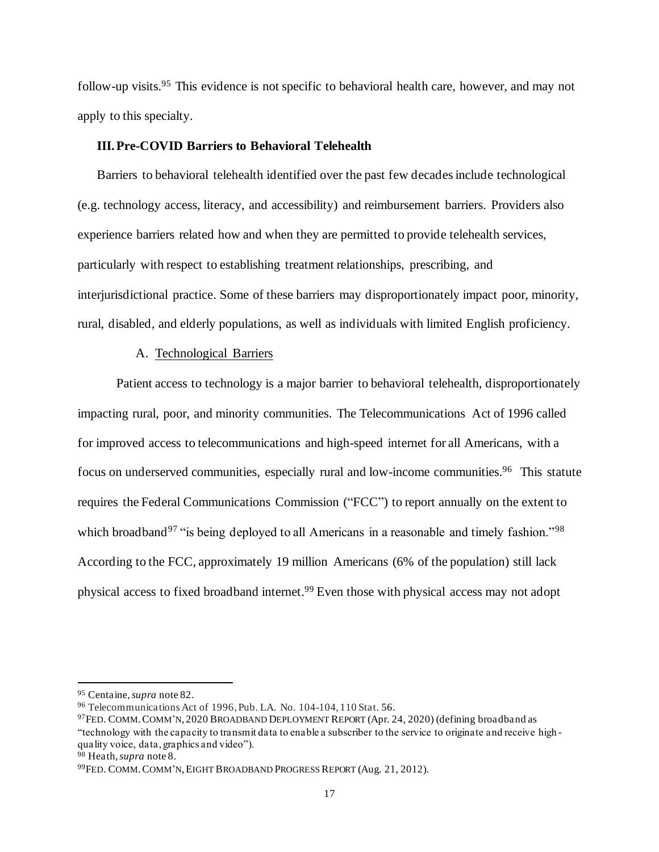follow-up visits.<sup>95</sup> This evidence is not specific to behavioral health care, however, and may not apply to this specialty.

#### **III.Pre-COVID Barriers to Behavioral Telehealth**

Barriers to behavioral telehealth identified over the past few decades include technological (e.g. technology access, literacy, and accessibility) and reimbursement barriers. Providers also experience barriers related how and when they are permitted to provide telehealth services, particularly with respect to establishing treatment relationships, prescribing, and interjurisdictional practice. Some of these barriers may disproportionately impact poor, minority, rural, disabled, and elderly populations, as well as individuals with limited English proficiency.

#### A. Technological Barriers

Patient access to technology is a major barrier to behavioral telehealth, disproportionately impacting rural, poor, and minority communities. The Telecommunications Act of 1996 called for improved access to telecommunications and high-speed internet for all Americans, with a focus on underserved communities, especially rural and low-income communities.<sup>96</sup> This statute requires the Federal Communications Commission ("FCC") to report annually on the extent to which broadband<sup>97</sup> "is being deployed to all Americans in a reasonable and timely fashion."<sup>98</sup> According to the FCC, approximately 19 million Americans (6% of the population) still lack physical access to fixed broadband internet. <sup>99</sup> Even those with physical access may not adopt

<sup>95</sup> Centaine, *supra* note 82.

<sup>96</sup> Telecommunications Act of 1996, Pub. LA. No. 104-104, 110 Stat. 56.

<sup>97</sup>FED. COMM.COMM'N, 2020 BROADBAND DEPLOYMENT REPORT (Apr. 24, 2020) (defining broadband as "technology with the capacity to transmit data to enable a subscriber to the service to originate and receive high quality voice, data, graphics and video").

<sup>98</sup> Heath,*supra* note 8.

<sup>99</sup>FED. COMM.COMM'N,EIGHT BROADBAND PROGRESS REPORT (Aug. 21, 2012).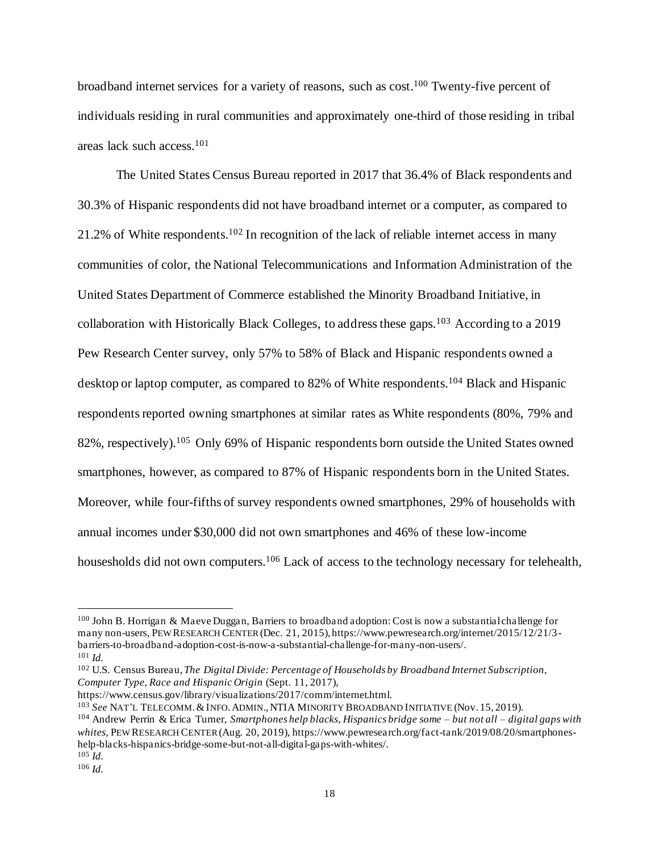broadband internet services for a variety of reasons, such as cost.<sup>100</sup> Twenty-five percent of individuals residing in rural communities and approximately one-third of those residing in tribal areas lack such access.<sup>101</sup>

The United States Census Bureau reported in 2017 that 36.4% of Black respondents and 30.3% of Hispanic respondents did not have broadband internet or a computer, as compared to 21.2% of White respondents.<sup>102</sup> In recognition of the lack of reliable internet access in many communities of color, the National Telecommunications and Information Administration of the United States Department of Commerce established the Minority Broadband Initiative, in collaboration with Historically Black Colleges, to address these gaps.<sup>103</sup> According to a 2019 Pew Research Center survey, only 57% to 58% of Black and Hispanic respondents owned a desktop or laptop computer, as compared to 82% of White respondents.<sup>104</sup> Black and Hispanic respondents reported owning smartphones at similar rates as White respondents (80%, 79% and 82%, respectively).<sup>105</sup> Only 69% of Hispanic respondents born outside the United States owned smartphones, however, as compared to 87% of Hispanic respondents born in the United States. Moreover, while four-fifths of survey respondents owned smartphones, 29% of households with annual incomes under \$30,000 did not own smartphones and 46% of these low-income housesholds did not own computers.<sup>106</sup> Lack of access to the technology necessary for telehealth,

<sup>100</sup> John B. Horrigan & Maeve Duggan, Barriers to broadband adoption: Cost is now a substantial challenge for many non-users, PEW RESEARCH CENTER(Dec. 21, 2015), https://www.pewresearch.org/internet/2015/12/21/3 barriers-to-broadband-adoption-cost-is-now-a-substantial-challenge-for-many-non-users/. <sup>101</sup> *Id.*

<sup>102</sup> U.S. Census Bureau, *The Digital Divide: Percentage of Households by Broadband Internet Subscription, Computer Type, Race and Hispanic Origin* (Sept. 11, 2017),

https://www.census.gov/library/visualizations/2017/comm/internet.html.

<sup>103</sup> *See* NAT'L TELECOMM.&INFO.ADMIN.,NTIA MINORITY BROADBAND INITIATIVE (Nov. 15, 2019).

<sup>104</sup> Andrew Perrin & Erica Turner, *Smartphones help blacks, Hispanics bridge some – but not all – digital gaps with whites*, PEW RESEARCH CENTER(Aug. 20, 2019), https://www.pewresearch.org/fact-tank/2019/08/20/smartphoneshelp-blacks-hispanics-bridge-some-but-not-all-digital-gaps-with-whites/. <sup>105</sup> *Id.*

<sup>106</sup> *Id.*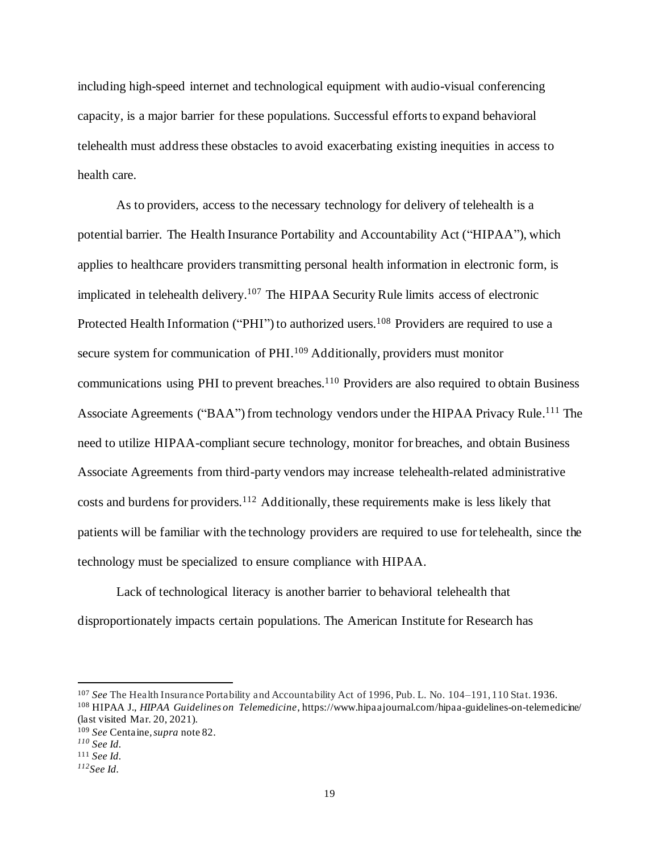including high-speed internet and technological equipment with audio-visual conferencing capacity, is a major barrier for these populations. Successful efforts to expand behavioral telehealth must addressthese obstacles to avoid exacerbating existing inequities in access to health care.

As to providers, access to the necessary technology for delivery of telehealth is a potential barrier. The Health Insurance Portability and Accountability Act ("HIPAA"), which applies to healthcare providers transmitting personal health information in electronic form, is implicated in telehealth delivery. <sup>107</sup> The HIPAA Security Rule limits access of electronic Protected Health Information ("PHI") to authorized users.<sup>108</sup> Providers are required to use a secure system for communication of PHI.<sup>109</sup> Additionally, providers must monitor communications using PHI to prevent breaches.<sup>110</sup> Providers are also required to obtain Business Associate Agreements ("BAA") from technology vendors under the HIPAA Privacy Rule.<sup>111</sup> The need to utilize HIPAA-compliant secure technology, monitor for breaches, and obtain Business Associate Agreements from third-party vendors may increase telehealth-related administrative costs and burdens for providers.<sup>112</sup> Additionally, these requirements make is less likely that patients will be familiar with the technology providers are required to use for telehealth, since the technology must be specialized to ensure compliance with HIPAA.

Lack of technological literacy is another barrier to behavioral telehealth that disproportionately impacts certain populations. The American Institute for Research has

<sup>107</sup> *See* The Health Insurance Portability and Accountability Act of 1996, Pub. L. No. 104–191, 110 Stat. 1936. <sup>108</sup> HIPAA J., *HIPAA Guidelines on Telemedicine*, https://www.hipaajournal.com/hipaa-guidelines-on-telemedicine/ (last visited Mar. 20, 2021).

<sup>109</sup> *See* Centaine*, supra* note 82.

*<sup>110</sup> See Id.*

<sup>111</sup> *See Id.*

*<sup>112</sup>See Id.*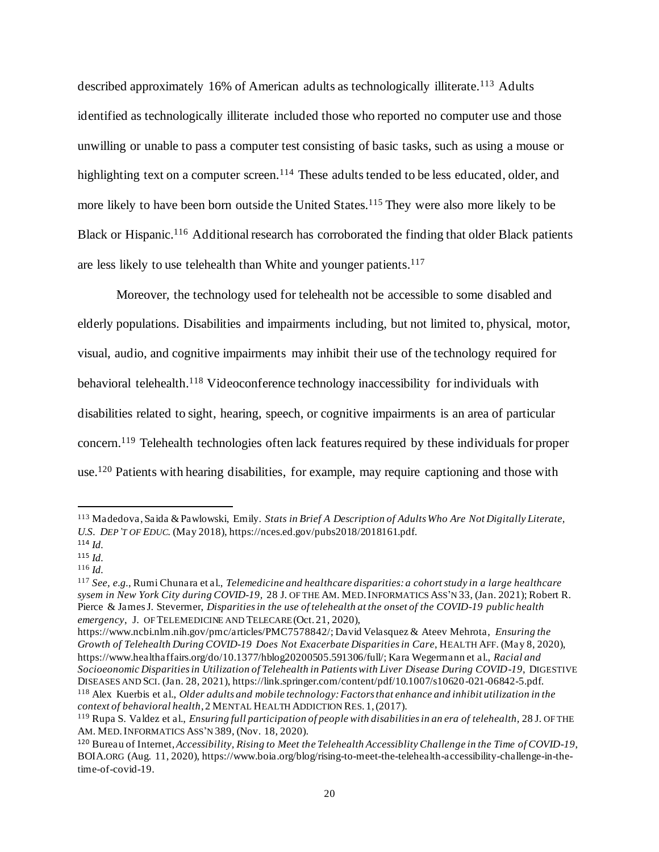described approximately 16% of American adults as technologically illiterate.<sup>113</sup> Adults identified as technologically illiterate included those who reported no computer use and those unwilling or unable to pass a computer test consisting of basic tasks, such as using a mouse or highlighting text on a computer screen.<sup>114</sup> These adults tended to be less educated, older, and more likely to have been born outside the United States.<sup>115</sup> They were also more likely to be Black or Hispanic.<sup>116</sup> Additional research has corroborated the finding that older Black patients are less likely to use telehealth than White and younger patients.<sup>117</sup>

Moreover, the technology used for telehealth not be accessible to some disabled and elderly populations. Disabilities and impairments including, but not limited to, physical, motor, visual, audio, and cognitive impairments may inhibit their use of the technology required for behavioral telehealth.<sup>118</sup> Videoconference technology inaccessibility for individuals with disabilities related to sight, hearing, speech, or cognitive impairments is an area of particular concern. <sup>119</sup> Telehealth technologies often lack features required by these individuals for proper use.<sup>120</sup> Patients with hearing disabilities, for example, may require captioning and those with

<sup>113</sup> Madedova, Saida & Pawlowski, Emily. *Stats in Brief A Description of Adults Who Are Not Digitally Literate, U.S. DEP'T OF EDUC.* (May 2018), https://nces.ed.gov/pubs2018/2018161.pdf.

<sup>114</sup> *Id.*

<sup>115</sup> *Id.*

<sup>116</sup> *Id.*

<sup>117</sup> *See, e.g.*, Rumi Chunara et al., *Telemedicine and healthcare disparities: a cohort study in a large healthcare sysem in New York City during COVID-19,* 28 J. OF THE AM. MED.INFORMATICS ASS'N 33, (Jan. 2021); Robert R. Pierce & James J. Stevermer, *Disparities in the use of telehealth at the onset of the COVID-19 public health emergency*, J. OF TELEMEDICINE AND TELECARE (Oct. 21, 2020),

https://www.ncbi.nlm.nih.gov/pmc/articles/PMC7578842/; David Velasquez & Ateev Mehrota, *Ensuring the Growth of Telehealth During COVID-19 Does Not Exacerbate Disparities in Care*, HEALTH AFF. (May 8, 2020), https://www.healthaffairs.org/do/10.1377/hblog20200505.591306/full/; Kara Wegermann et al., *Racial and Socioeonomic Disparities in Utilization of Telehealth in Patients with Liver Disease During COVID-19*, DIGESTIVE DISEASES AND SCI. (Jan. 28, 2021), https://link.springer.com/content/pdf/10.1007/s10620-021-06842-5.pdf. <sup>118</sup> Alex Kuerbis et al., *Older adults and mobile technology: Factors that enhance and inhibit utilization in the context of behavioral health*, 2 MENTAL HEALTH ADDICTION RES. 1, (2017).

<sup>119</sup> Rupa S. Valdez et al., *Ensuring full participation of people with disabilities in an era of telehealth,* 28 J. OF THE AM. MED.INFORMATICS ASS'N 389, (Nov. 18, 2020).

<sup>120</sup> Bureau of Internet,*Accessibility, Rising to Meet the Telehealth Accessiblity Challenge in the Time of COVID-19*, BOIA.ORG (Aug. 11, 2020), https://www.boia.org/blog/rising-to-meet-the-telehealth-accessibility-challenge-in-thetime-of-covid-19.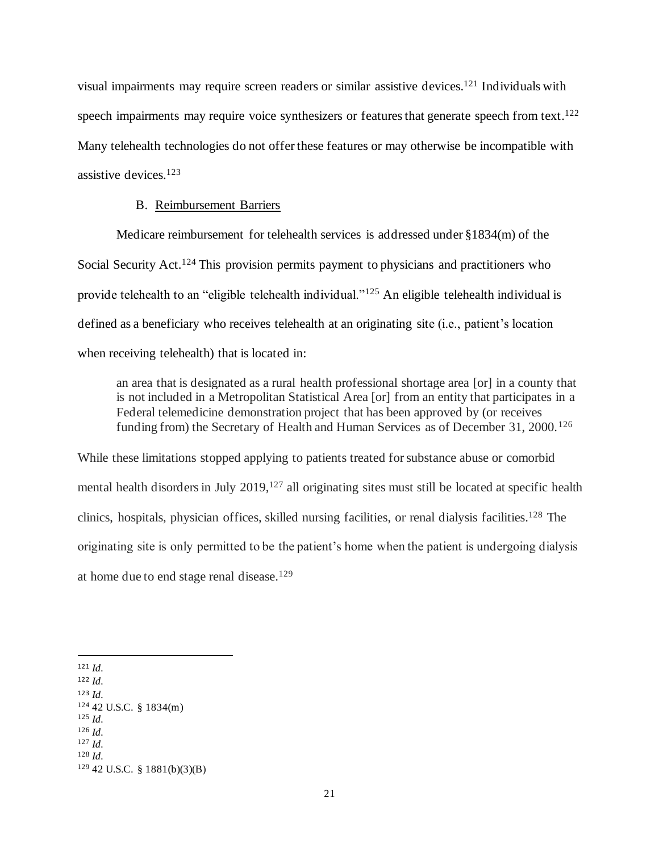visual impairments may require screen readers or similar assistive devices. <sup>121</sup> Individuals with speech impairments may require voice synthesizers or features that generate speech from text.<sup>122</sup> Many telehealth technologies do not offer these features or may otherwise be incompatible with assistive devices.<sup>123</sup>

#### B. Reimbursement Barriers

Medicare reimbursement for telehealth services is addressed under §1834(m) of the Social Security Act.<sup>124</sup> This provision permits payment to physicians and practitioners who provide telehealth to an "eligible telehealth individual."<sup>125</sup> An eligible telehealth individual is defined as a beneficiary who receives telehealth at an originating site (i.e., patient's location when receiving telehealth) that is located in:

an area that is designated as a rural health professional shortage area [or] in a county that is not included in a Metropolitan Statistical Area [or] from an entity that participates in a Federal telemedicine demonstration project that has been approved by (or receives funding from) the Secretary of Health and Human Services as of December 31, 2000.<sup>126</sup>

While these limitations stopped applying to patients treated for substance abuse or comorbid mental health disorders in July 2019,<sup>127</sup> all originating sites must still be located at specific health clinics, hospitals, physician offices, skilled nursing facilities, or renal dialysis facilities. <sup>128</sup> The originating site is only permitted to be the patient's home when the patient is undergoing dialysis at home due to end stage renal disease.<sup>129</sup>

<sup>121</sup> *Id.* <sup>122</sup> *Id.* <sup>123</sup> *Id.* <sup>124</sup> 42 U.S.C. § 1834(m) <sup>125</sup> *Id.* <sup>126</sup> *Id.* <sup>127</sup> *Id.* <sup>128</sup> *Id.* <sup>129</sup> 42 U.S.C. § 1881(b)(3)(B)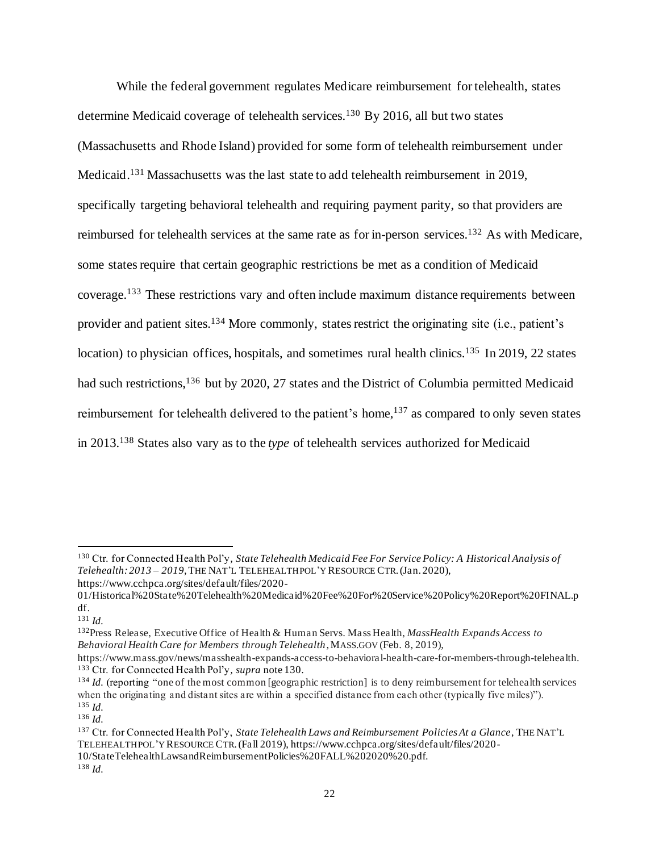While the federal government regulates Medicare reimbursement for telehealth, states determine Medicaid coverage of telehealth services.<sup>130</sup> By 2016, all but two states (Massachusetts and Rhode Island) provided for some form of telehealth reimbursement under Medicaid.<sup>131</sup> Massachusetts was the last state to add telehealth reimbursement in 2019, specifically targeting behavioral telehealth and requiring payment parity, so that providers are reimbursed for telehealth services at the same rate as for in-person services.<sup>132</sup> As with Medicare, some states require that certain geographic restrictions be met as a condition of Medicaid coverage. <sup>133</sup> These restrictions vary and often include maximum distance requirements between provider and patient sites.<sup>134</sup> More commonly, states restrict the originating site (i.e., patient's location) to physician offices, hospitals, and sometimes rural health clinics.<sup>135</sup> In 2019, 22 states had such restrictions,<sup>136</sup> but by 2020, 27 states and the District of Columbia permitted Medicaid reimbursement for telehealth delivered to the patient's home,<sup>137</sup> as compared to only seven states in 2013.<sup>138</sup> States also vary as to the *type* of telehealth services authorized for Medicaid

<sup>132</sup>Press Release, Executive Office of Health & Human Servs. Mass Health, *MassHealth Expands Access to Behavioral Health Care for Members through Telehealth*, MASS.GOV (Feb. 8, 2019),

<sup>130</sup> Ctr. for Connected Health Pol'y*, State Telehealth Medicaid Fee For Service Policy: A Historical Analysis of Telehealth: 2013 – 2019*, THE NAT'L TELEHEALTH POL'Y RESOURCE CTR.(Jan. 2020), https://www.cchpca.org/sites/default/files/2020-

<sup>01/</sup>Historical%20State%20Telehealth%20Medicaid%20Fee%20For%20Service%20Policy%20Report%20FINAL.p df.

<sup>131</sup> *Id.*

https://www.mass.gov/news/masshealth-expands-access-to-behavioral-health-care-for-members-through-telehealth. <sup>133</sup> Ctr. for Connected Health Pol'y*, supra* note 130.

<sup>&</sup>lt;sup>134</sup> *Id.* (reporting "one of the most common [geographic restriction] is to deny reimbursement for telehealth services when the originating and distant sites are within a specified distance from each other (typically five miles)"). <sup>135</sup> *Id.*

<sup>136</sup> *Id.*

<sup>137</sup> Ctr. for Connected Health Pol'y, *State Telehealth Laws and Reimbursement Policies At a Glance*, THE NAT'L TELEHEALTH POL'Y RESOURCE CTR.(Fall 2019), https://www.cchpca.org/sites/default/files/2020- 10/StateTelehealthLawsandReimbursementPolicies%20FALL%202020%20.pdf.

<sup>138</sup> *Id.*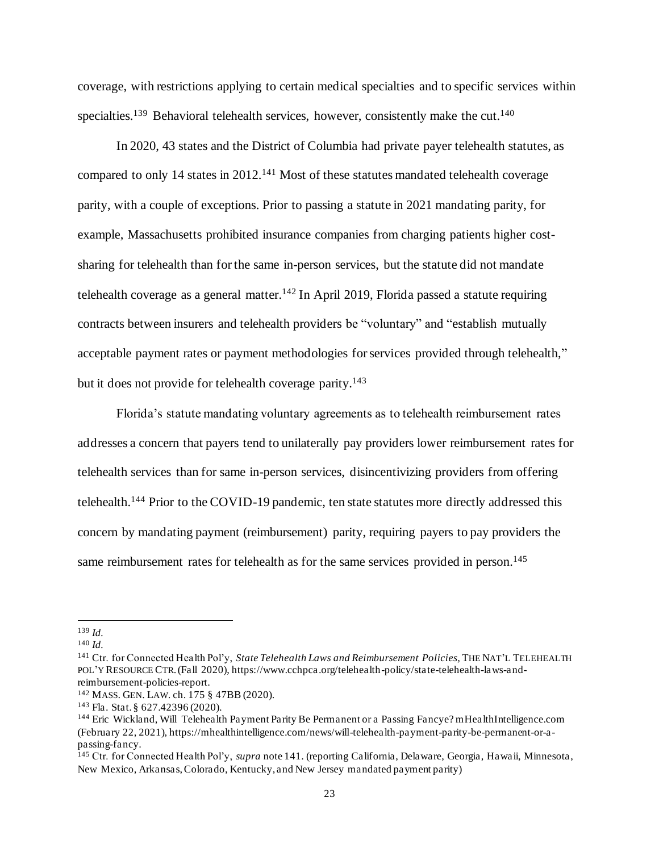coverage, with restrictions applying to certain medical specialties and to specific services within specialties.<sup>139</sup> Behavioral telehealth services, however, consistently make the cut.<sup>140</sup>

In 2020, 43 states and the District of Columbia had private payer telehealth statutes, as compared to only 14 states in 2012.<sup>141</sup> Most of these statutes mandated telehealth coverage parity, with a couple of exceptions. Prior to passing a statute in 2021 mandating parity, for example, Massachusetts prohibited insurance companies from charging patients higher costsharing for telehealth than for the same in-person services, but the statute did not mandate telehealth coverage as a general matter.<sup>142</sup> In April 2019, Florida passed a statute requiring contracts between insurers and telehealth providers be "voluntary" and "establish mutually acceptable payment rates or payment methodologies for services provided through telehealth," but it does not provide for telehealth coverage parity.<sup>143</sup>

Florida's statute mandating voluntary agreements as to telehealth reimbursement rates addresses a concern that payers tend to unilaterally pay providers lower reimbursement rates for telehealth services than for same in-person services, disincentivizing providers from offering telehealth.<sup>144</sup> Prior to the COVID-19 pandemic, ten state statutes more directly addressed this concern by mandating payment (reimbursement) parity, requiring payers to pay providers the same reimbursement rates for telehealth as for the same services provided in person.<sup>145</sup>

<sup>139</sup> *Id.*

<sup>140</sup> *Id.*

<sup>141</sup> Ctr. for Connected Health Pol'y, *State Telehealth Laws and Reimbursement Policies,* THE NAT'L TELEHEALTH POL'Y RESOURCE CTR.(Fall 2020), https://www.cchpca.org/telehealth-policy/state-telehealth-laws-andreimbursement-policies-report.

<sup>142</sup> MASS. GEN. LAW. ch. 175 § 47BB (2020).

<sup>143</sup> Fla. Stat. § 627.42396 (2020).

<sup>144</sup> Eric Wickland, Will Telehealth Payment Parity Be Permanent or a Passing Fancye? mHealthIntelligence.com (February 22, 2021), https://mhealthintelligence.com/news/will-telehealth-payment-parity-be-permanent-or-apassing-fancy.

<sup>145</sup> Ctr. for Connected Health Pol'y, *supra* note 141. (reporting California, Delaware, Georgia, Hawaii, Minnesota, New Mexico, Arkansas, Colorado, Kentucky, and New Jersey mandated payment parity)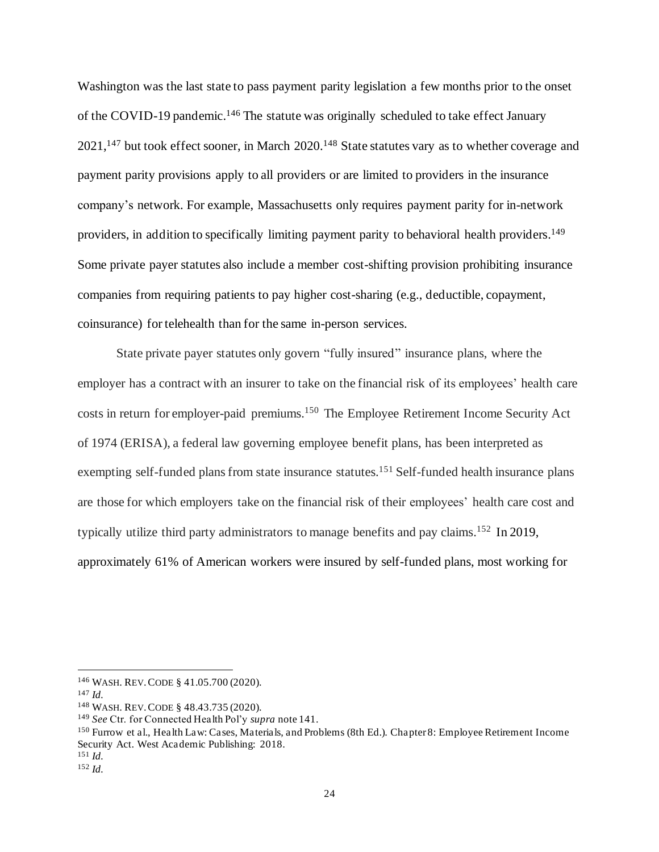Washington was the last state to pass payment parity legislation a few months prior to the onset of the COVID-19 pandemic.<sup>146</sup> The statute was originally scheduled to take effect January 2021,<sup>147</sup> but took effect sooner, in March 2020.<sup>148</sup> State statutes vary as to whether coverage and payment parity provisions apply to all providers or are limited to providers in the insurance company's network. For example, Massachusetts only requires payment parity for in-network providers, in addition to specifically limiting payment parity to behavioral health providers.<sup>149</sup> Some private payer statutes also include a member cost-shifting provision prohibiting insurance companies from requiring patients to pay higher cost-sharing (e.g., deductible, copayment, coinsurance) for telehealth than for the same in-person services.

State private payer statutes only govern "fully insured" insurance plans, where the employer has a contract with an insurer to take on the financial risk of its employees' health care costs in return for employer-paid premiums. <sup>150</sup> The Employee Retirement Income Security Act of 1974 (ERISA), a federal law governing employee benefit plans, has been interpreted as exempting self-funded plans from state insurance statutes.<sup>151</sup> Self-funded health insurance plans are those for which employers take on the financial risk of their employees' health care cost and typically utilize third party administrators to manage benefits and pay claims. <sup>152</sup> In 2019, approximately 61% of American workers were insured by self-funded plans, most working for

<sup>146</sup> WASH. REV.CODE § 41.05.700 (2020).

<sup>147</sup> *Id.*

<sup>148</sup> WASH. REV.CODE § 48.43.735 (2020).

<sup>149</sup> *See* Ctr. for Connected Health Pol'y *supra* note 141.

<sup>150</sup> Furrow et al., Hea lth Law: Cases, Materials, and Problems (8th Ed.). Chapter 8: Employee Retirement Income Security Act. West Academic Publishing: 2018.

<sup>151</sup> *Id.*

<sup>152</sup> *Id.*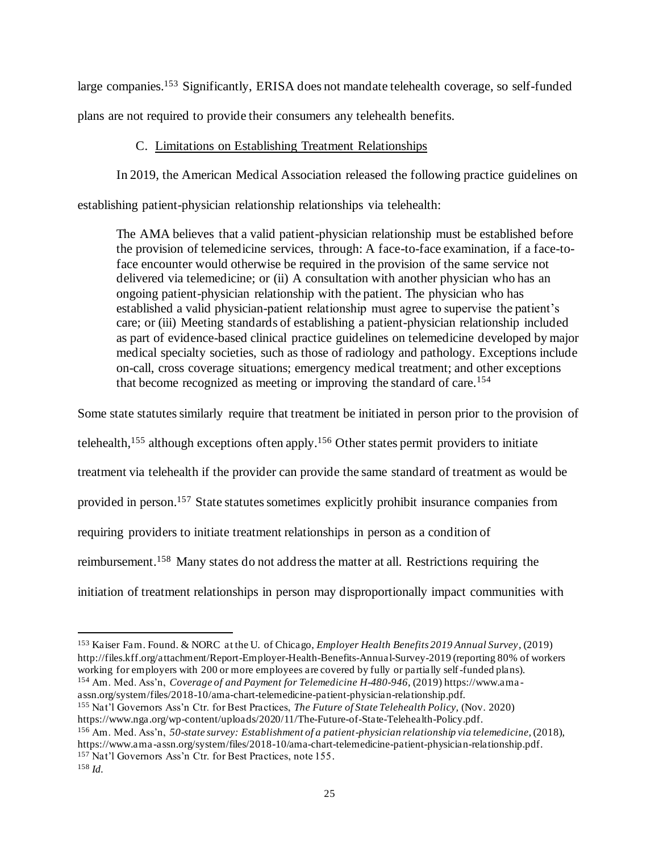large companies.<sup>153</sup> Significantly, ERISA does not mandate telehealth coverage, so self-funded plans are not required to provide their consumers any telehealth benefits.

### C. Limitations on Establishing Treatment Relationships

In 2019, the American Medical Association released the following practice guidelines on

establishing patient-physician relationship relationships via telehealth:

The AMA believes that a valid patient-physician relationship must be established before the provision of telemedicine services, through: A face-to-face examination, if a face-toface encounter would otherwise be required in the provision of the same service not delivered via telemedicine; or (ii) A consultation with another physician who has an ongoing patient-physician relationship with the patient. The physician who has established a valid physician-patient relationship must agree to supervise the patient's care; or (iii) Meeting standards of establishing a patient-physician relationship included as part of evidence-based clinical practice guidelines on telemedicine developed by major medical specialty societies, such as those of radiology and pathology. Exceptions include on-call, cross coverage situations; emergency medical treatment; and other exceptions that become recognized as meeting or improving the standard of care.<sup>154</sup>

Some state statutes similarly require that treatment be initiated in person prior to the provision of

telehealth, <sup>155</sup> although exceptions often apply. <sup>156</sup> Other states permit providers to initiate

treatment via telehealth if the provider can provide the same standard of treatment as would be

provided in person. <sup>157</sup> State statutes sometimes explicitly prohibit insurance companies from

requiring providers to initiate treatment relationships in person as a condition of

reimbursement.<sup>158</sup> Many states do not address the matter at all. Restrictions requiring the

initiation of treatment relationships in person may disproportionally impact communities with

- assn.org/system/files/2018-10/ama-chart-telemedicine-patient-physician-relationship.pdf. <sup>155</sup> Nat'l Governors Ass'n Ctr. for Best Practices, *The Future of State Telehealth Policy,* (Nov. 2020)
- https://www.nga.org/wp-content/uploads/2020/11/The-Future-of-State-Telehealth-Policy.pdf.

<sup>156</sup> Am. Med. Ass'n, *50-state survey: Establishment of a patient-physician relationship via telemedicine,* (2018), https://www.ama -assn.org/system/files/2018-10/ama-chart-telemedicine-patient-physician-relationship.pdf. <sup>157</sup> Nat'l Governors Ass'n Ctr. for Best Practices, note 155.

<sup>153</sup> Kaiser Fam. Found. & NORC at the U. of Chicago, *Employer Health Benefits 2019 Annual Survey*, (2019) http://files.kff.org/attachment/Report-Employer-Health-Benefits-Annual-Survey-2019 (reporting 80% of workers working for employers with 200 or more employees are covered by fully or partially self-funded plans). <sup>154</sup> Am. Med. Ass'n, *Coverage of and Payment for Telemedicine H-480-946*, (2019) https://www.ama -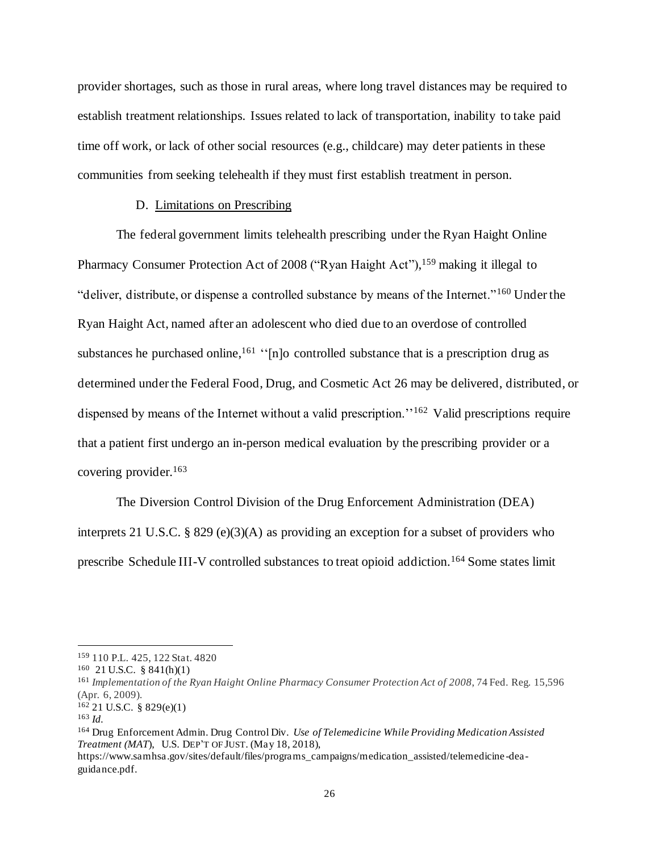provider shortages, such as those in rural areas, where long travel distances may be required to establish treatment relationships. Issues related to lack of transportation, inability to take paid time off work, or lack of other social resources (e.g., childcare) may deter patients in these communities from seeking telehealth if they must first establish treatment in person.

#### D. Limitations on Prescribing

The federal government limits telehealth prescribing under the Ryan Haight Online Pharmacy Consumer Protection Act of 2008 ("Ryan Haight Act"), <sup>159</sup> making it illegal to "deliver, distribute, or dispense a controlled substance by means of the Internet."<sup>160</sup> Under the Ryan Haight Act, named after an adolescent who died due to an overdose of controlled substances he purchased online, <sup>161</sup> "[n]o controlled substance that is a prescription drug as determined under the Federal Food, Drug, and Cosmetic Act 26 may be delivered, distributed, or dispensed by means of the Internet without a valid prescription.<sup>''162</sup> Valid prescriptions require that a patient first undergo an in-person medical evaluation by the prescribing provider or a covering provider.<sup>163</sup>

The Diversion Control Division of the Drug Enforcement Administration (DEA) interprets 21 U.S.C. § 829 (e)(3)(A) as providing an exception for a subset of providers who prescribe Schedule III-V controlled substances to treat opioid addiction.<sup>164</sup> Some states limit

<sup>163</sup> *Id.*

<sup>159</sup> 110 P.L. 425, 122 Stat. 4820

<sup>160</sup> 21 U.S.C. § 841(h)(1)

<sup>161</sup> *Implementation of the Ryan Haight Online Pharmacy Consumer Protection Act of 2008*, 74 Fed. Reg. 15,596 (Apr. 6, 2009).

<sup>162</sup> 21 U.S.C. § 829(e)(1)

<sup>164</sup> Drug Enforcement Admin. Drug Control Div. *Use of Telemedicine While Providing Medication Assisted Treatment (MAT*), U.S. DEP'T OF JUST. (May 18, 2018),

https://www.samhsa.gov/sites/default/files/programs\_campaigns/medication\_assisted/telemedicine -deaguidance.pdf.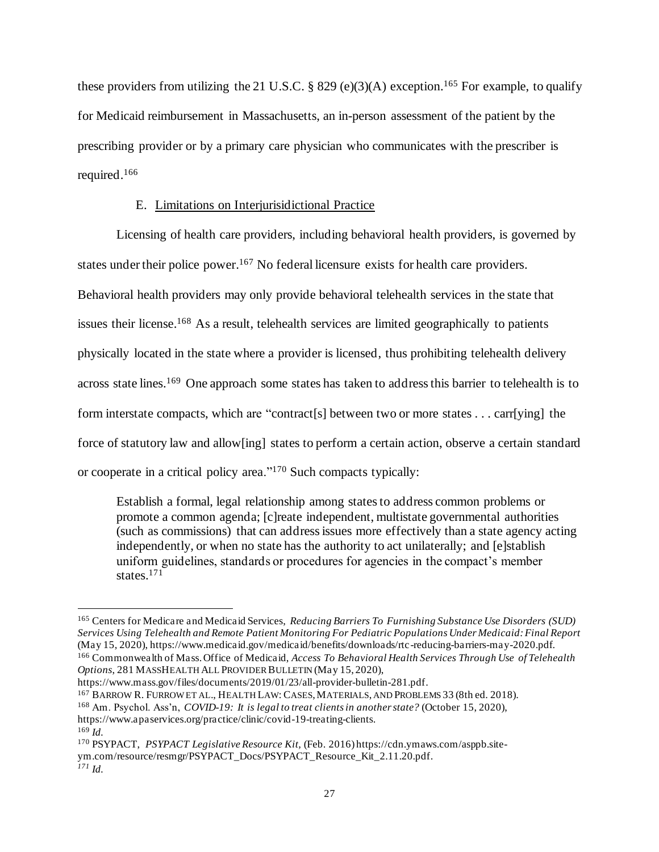these providers from utilizing the 21 U.S.C.  $\S$  829 (e)(3)(A) exception.<sup>165</sup> For example, to qualify for Medicaid reimbursement in Massachusetts, an in-person assessment of the patient by the prescribing provider or by a primary care physician who communicates with the prescriber is required. 166

#### E. Limitations on Interjurisidictional Practice

Licensing of health care providers, including behavioral health providers, is governed by states under their police power.<sup>167</sup> No federal licensure exists for health care providers. Behavioral health providers may only provide behavioral telehealth services in the state that issues their license.<sup>168</sup> As a result, telehealth services are limited geographically to patients physically located in the state where a provider is licensed, thus prohibiting telehealth delivery across state lines.<sup>169</sup> One approach some states has taken to address this barrier to telehealth is to form interstate compacts, which are "contract[s] between two or more states . . . carr[ying] the force of statutory law and allow[ing] states to perform a certain action, observe a certain standard or cooperate in a critical policy area."<sup>170</sup> Such compacts typically:

Establish a formal, legal relationship among states to address common problems or promote a common agenda; [c]reate independent, multistate governmental authorities (such as commissions) that can address issues more effectively than a state agency acting independently, or when no state has the authority to act unilaterally; and [e]stablish uniform guidelines, standards or procedures for agencies in the compact's member states. 171

https://www.apaservices.org/practice/clinic/covid-19-treating-clients.

<sup>165</sup> Centers for Medicare and Medicaid Services, *Reducing Barriers To Furnishing Substance Use Disorders (SUD) Services Using Telehealth and Remote Patient Monitoring For Pediatric Populations Under Medicaid: Final Report*  (May 15, 2020), https://www.medicaid.gov/medicaid/benefits/downloads/rtc-reducing-barriers-may-2020.pdf. <sup>166</sup> Commonwealth of Mass. Office of Medicaid, *Access To Behavioral Health Services Through Use of Telehealth Options*, 281 MASSHEALTH ALL PROVIDER BULLETIN (May 15, 2020),

https://www.mass.gov/files/documents/2019/01/23/all-provider-bulletin-281.pdf.

<sup>167</sup> BARROW R. FURROW ET AL., HEALTH LAW: CASES,MATERIALS, AND PROBLEMS 33 (8th ed. 2018).

<sup>168</sup> Am. Psychol. Ass'n, *COVID-19: It is legal to treat clients in another state?* (October 15, 2020),

<sup>169</sup> *Id.*

<sup>170</sup> PSYPACT, *PSYPACT Legislative Resource Kit,* (Feb. 2016) https://cdn.ymaws.com/asppb.siteym.com/resource/resmgr/PSYPACT\_Docs/PSYPACT\_Resource\_Kit\_2.11.20.pdf. *<sup>171</sup> Id.*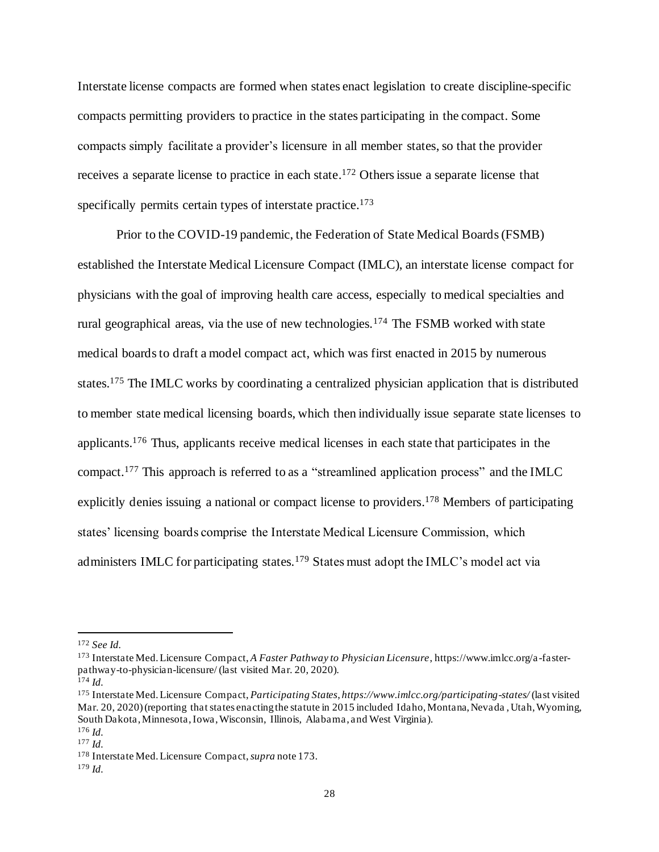Interstate license compacts are formed when states enact legislation to create discipline-specific compacts permitting providers to practice in the states participating in the compact. Some compacts simply facilitate a provider's licensure in all member states, so that the provider receives a separate license to practice in each state.<sup>172</sup> Others issue a separate license that specifically permits certain types of interstate practice.<sup>173</sup>

Prior to the COVID-19 pandemic, the Federation of State Medical Boards (FSMB) established the Interstate Medical Licensure Compact (IMLC), an interstate license compact for physicians with the goal of improving health care access, especially to medical specialties and rural geographical areas, via the use of new technologies.<sup>174</sup> The FSMB worked with state medical boards to draft a model compact act, which was first enacted in 2015 by numerous states.<sup>175</sup> The IMLC works by coordinating a centralized physician application that is distributed to member state medical licensing boards, which then individually issue separate state licenses to applicants.<sup>176</sup> Thus, applicants receive medical licenses in each state that participates in the compact.<sup>177</sup> This approach is referred to as a "streamlined application process" and the IMLC explicitly denies issuing a national or compact license to providers.<sup>178</sup> Members of participating states' licensing boards comprise the Interstate Medical Licensure Commission, which administers IMLC for participating states.<sup>179</sup> States must adopt the IMLC's model act via

<sup>172</sup> *See Id.*

<sup>173</sup> Interstate Med. Licensure Compact, *A Faster Pathway to Physician Licensure*, https://www.imlcc.org/a -fasterpathway-to-physician-licensure/ (last visited Mar. 20, 2020).

 $174$  *Id.* 

<sup>175</sup> Interstate Med. Licensure Compact, *Participating States*, *https://www.imlcc.org/participating-states/* (last visited Mar. 20, 2020) (reporting that states enacting the statute in 2015 included Idaho, Montana, Nevada , Utah, Wyoming, South Dakota, Minnesota, Iowa, Wisconsin, Illinois, Alabama, and West Virginia). <sup>176</sup> *Id.*

<sup>177</sup> *Id.*

<sup>178</sup> Interstate Med. Licensure Compact, *supra* note 173.

<sup>179</sup> *Id.*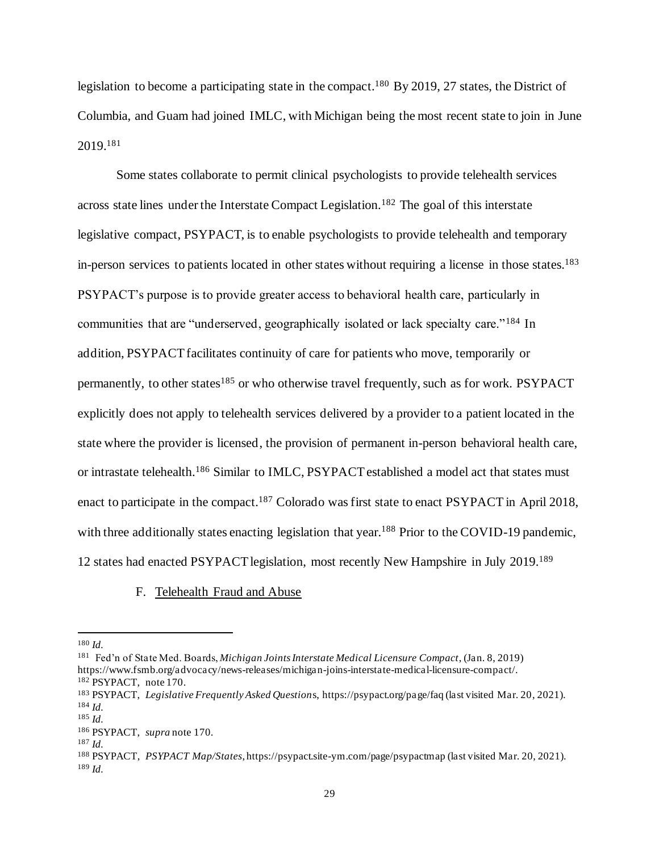legislation to become a participating state in the compact.<sup>180</sup> By 2019, 27 states, the District of Columbia, and Guam had joined IMLC, with Michigan being the most recent state to join in June 2019.<sup>181</sup>

Some states collaborate to permit clinical psychologists to provide telehealth services across state lines under the Interstate Compact Legislation.<sup>182</sup> The goal of this interstate legislative compact, PSYPACT, is to enable psychologists to provide telehealth and temporary in-person services to patients located in other states without requiring a license in those states.<sup>183</sup> PSYPACT's purpose is to provide greater access to behavioral health care, particularly in communities that are "underserved, geographically isolated or lack specialty care."<sup>184</sup> In addition, PSYPACT facilitates continuity of care for patients who move, temporarily or permanently, to other states<sup>185</sup> or who otherwise travel frequently, such as for work. PSYPACT explicitly does not apply to telehealth services delivered by a provider to a patient located in the state where the provider is licensed, the provision of permanent in-person behavioral health care, or intrastate telehealth.<sup>186</sup> Similar to IMLC, PSYPACT established a model act that states must enact to participate in the compact.<sup>187</sup> Colorado was first state to enact PSYPACT in April 2018, with three additionally states enacting legislation that year.<sup>188</sup> Prior to the COVID-19 pandemic, 12 states had enacted PSYPACT legislation, most recently New Hampshire in July 2019. 189

#### F. Telehealth Fraud and Abuse

<sup>180</sup> *Id.*

<sup>181</sup> Fed'n of State Med. Boards, *Michigan Joints Interstate Medical Licensure Compact*, (Jan. 8, 2019) https://www.fsmb.org/advocacy/news-releases/michigan-joins-interstate-medical-licensure-compact/.

<sup>182</sup> PSYPACT, note 170.

<sup>183</sup> PSYPACT, *Legislative Frequently Asked Question*s, https://psypact.org/page/faq (last visited Mar. 20, 2021). <sup>184</sup> *Id.*

<sup>185</sup> *Id.*

<sup>186</sup> PSYPACT, *supra* note 170.

<sup>187</sup> *Id.*

<sup>188</sup> PSYPACT, *PSYPACT Map/States*, https://psypact.site-ym.com/page/psypactmap (last visited Mar. 20, 2021). <sup>189</sup> *Id.*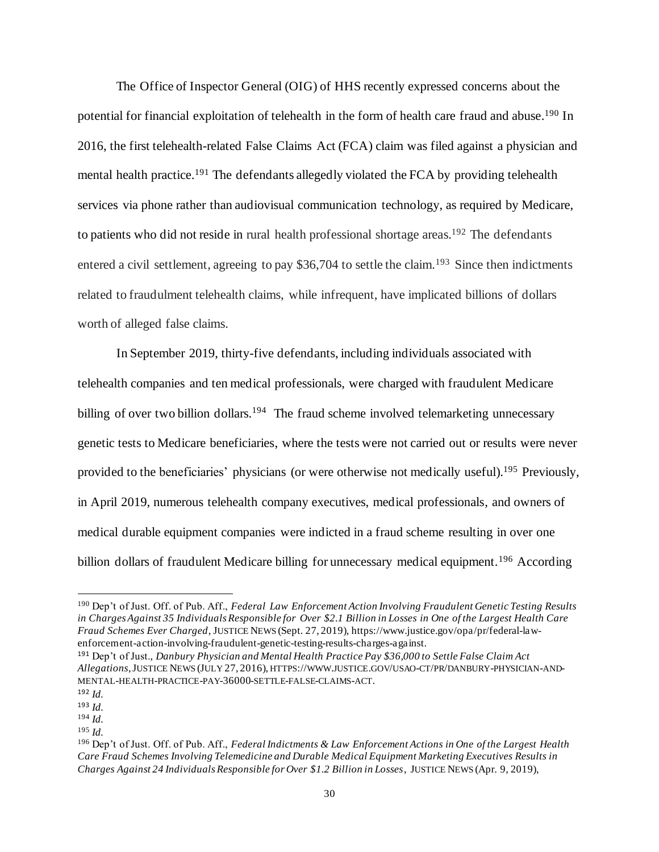The Office of Inspector General (OIG) of HHS recently expressed concerns about the potential for financial exploitation of telehealth in the form of health care fraud and abuse.<sup>190</sup> In 2016, the first telehealth-related False Claims Act (FCA) claim was filed against a physician and mental health practice.<sup>191</sup> The defendants allegedly violated the FCA by providing telehealth services via phone rather than audiovisual communication technology, as required by Medicare, to patients who did not reside in rural health professional shortage areas.<sup>192</sup> The defendants entered a civil settlement, agreeing to pay \$36,704 to settle the claim.<sup>193</sup> Since then indictments related to fraudulment telehealth claims, while infrequent, have implicated billions of dollars worth of alleged false claims.

In September 2019, thirty-five defendants, including individuals associated with telehealth companies and ten medical professionals, were charged with fraudulent Medicare billing of over two billion dollars.<sup>194</sup> The fraud scheme involved telemarketing unnecessary genetic tests to Medicare beneficiaries, where the tests were not carried out or results were never provided to the beneficiaries' physicians (or were otherwise not medically useful).<sup>195</sup> Previously, in April 2019, numerous telehealth company executives, medical professionals, and owners of medical durable equipment companies were indicted in a fraud scheme resulting in over one billion dollars of fraudulent Medicare billing for unnecessary medical equipment.<sup>196</sup> According

<sup>190</sup> Dep't of Just. Off. of Pub. Aff., *Federal Law Enforcement Action Involving Fraudulent Genetic Testing Results in Charges Against 35 Individuals Responsible for Over \$2.1 Billion in Losses in One of the Largest Health Care Fraud Schemes Ever Charged*, JUSTICE NEWS (Sept. 27, 2019), https://www.justice.gov/opa/pr/federal-lawenforcement-action-involving-fraudulent-genetic-testing-results-charges-against.

<sup>191</sup> Dep't of Just., *Danbury Physician and Mental Health Practice Pay \$36,000 to Settle False Claim Act Allegations*, JUSTICE NEWS (JULY 27, 2016), HTTPS://WWW.JUSTICE.GOV/USAO-CT/PR/DANBURY-PHYSICIAN-AND-MENTAL-HEALTH-PRACTICE-PAY-36000-SETTLE-FALSE-CLAIMS-ACT.

<sup>192</sup> *Id.*

<sup>193</sup> *Id.* <sup>194</sup> *Id.*

<sup>195</sup> *Id.*

<sup>196</sup> Dep't of Just. Off. of Pub. Aff., *Federal Indictments & Law Enforcement Actions in One of the Largest Health Care Fraud Schemes Involving Telemedicine and Durable Medical Equipment Marketing Executives Results in Charges Against 24 Individuals Responsible for Over \$1.2 Billion in Losses*, JUSTICE NEWS (Apr. 9, 2019),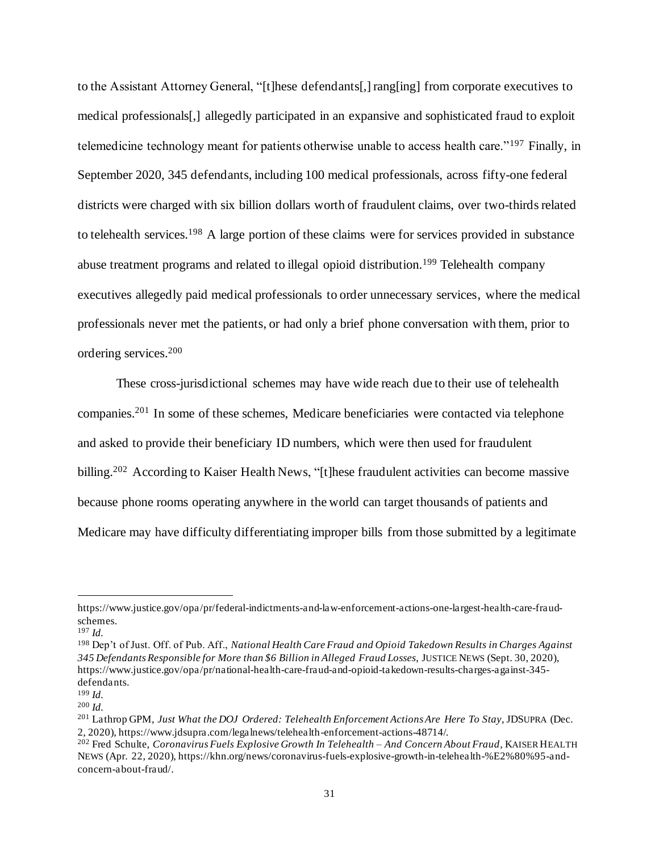to the Assistant Attorney General, "[t]hese defendants[,] rang[ing] from corporate executives to medical professionals[,] allegedly participated in an expansive and sophisticated fraud to exploit telemedicine technology meant for patients otherwise unable to access health care."<sup>197</sup> Finally, in September 2020, 345 defendants, including 100 medical professionals, across fifty-one federal districts were charged with six billion dollars worth of fraudulent claims, over two-thirds related to telehealth services.<sup>198</sup> A large portion of these claims were for services provided in substance abuse treatment programs and related to illegal opioid distribution.<sup>199</sup> Telehealth company executives allegedly paid medical professionals to order unnecessary services, where the medical professionals never met the patients, or had only a brief phone conversation with them, prior to ordering services. 200

These cross-jurisdictional schemes may have wide reach due to their use of telehealth companies. <sup>201</sup> In some of these schemes, Medicare beneficiaries were contacted via telephone and asked to provide their beneficiary ID numbers, which were then used for fraudulent billing.<sup>202</sup> According to Kaiser Health News, "[t]hese fraudulent activities can become massive because phone rooms operating anywhere in the world can target thousands of patients and Medicare may have difficulty differentiating improper bills from those submitted by a legitimate

https://www.justice.gov/opa/pr/federal-indictments-and-law-enforcement-actions-one-largest-health-care-fraudschemes.

<sup>197</sup> *Id.*

<sup>198</sup> Dep't of Just. Off. of Pub. Aff., *National Health Care Fraud and Opioid Takedown Results in Charges Against 345 Defendants Responsible for More than \$6 Billion in Alleged Fraud Losses*, JUSTICE NEWS (Sept. 30, 2020), https://www.justice.gov/opa/pr/national-health-care-fraud-and-opioid-takedown-results-charges-against-345 defendants.

<sup>199</sup> *Id.*

<sup>200</sup> *Id.*

<sup>201</sup> Lathrop GPM, *Just What the DOJ Ordered: Telehealth Enforcement Actions Are Here To Stay*, JDSUPRA (Dec. 2, 2020), https://www.jdsupra.com/legalnews/telehealth-enforcement-actions-48714/.

<sup>202</sup> Fred Schulte, *Coronavirus Fuels Explosive Growth In Telehealth – And Concern About Fraud*, KAISER HEALTH NEWS (Apr. 22, 2020), https://khn.org/news/coronavirus-fuels-explosive-growth-in-telehealth-%E2%80%95-andconcern-about-fraud/.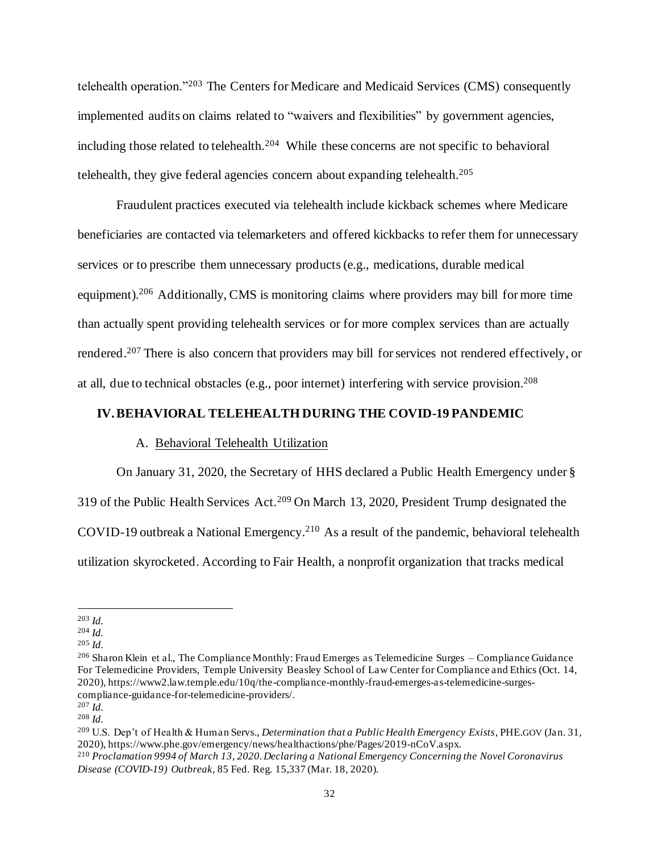telehealth operation."<sup>203</sup> The Centers for Medicare and Medicaid Services (CMS) consequently implemented audits on claims related to "waivers and flexibilities" by government agencies, including those related to telehealth.<sup>204</sup> While these concerns are not specific to behavioral telehealth, they give federal agencies concern about expanding telehealth. 205

Fraudulent practices executed via telehealth include kickback schemes where Medicare beneficiaries are contacted via telemarketers and offered kickbacks to refer them for unnecessary services or to prescribe them unnecessary products(e.g., medications, durable medical equipment).<sup>206</sup> Additionally, CMS is monitoring claims where providers may bill for more time than actually spent providing telehealth services or for more complex services than are actually rendered.<sup>207</sup> There is also concern that providers may bill for services not rendered effectively, or at all, due to technical obstacles (e.g., poor internet) interfering with service provision. 208

#### **IV.BEHAVIORAL TELEHEALTH DURING THE COVID-19 PANDEMIC**

#### A. Behavioral Telehealth Utilization

On January 31, 2020, the Secretary of HHS declared a Public Health Emergency under § 319 of the Public Health Services Act.<sup>209</sup> On March 13, 2020, President Trump designated the COVID-19 outbreak a National Emergency.<sup>210</sup> As a result of the pandemic, behavioral telehealth utilization skyrocketed. According to Fair Health, a nonprofit organization that tracks medical

<sup>203</sup> *Id.*

<sup>204</sup> *Id.*

<sup>205</sup> *Id.*

<sup>206</sup> Sharon Klein et al., The Compliance Monthly: Fraud Emerges as Telemedicine Surges – Compliance Guidance For Telemedicine Providers, Temple University Beasley School of Law Center for Compliance and Ethics (Oct. 14, 2020), https://www2.law.temple.edu/10q/the-compliance-monthly-fraud-emerges-as-telemedicine-surgescompliance-guidance-for-telemedicine-providers/.

<sup>207</sup> *Id.*

<sup>208</sup> *Id.*

<sup>209</sup> U.S. Dep't of Health & Human Servs., *Determination that a Public Health Emergency Exists*, PHE.GOV (Jan. 31, 2020), https://www.phe.gov/emergency/news/healthactions/phe/Pages/2019-nCoV.aspx.

<sup>210</sup> *Proclamation 9994 of March 13, 2020. Declaring a National Emergency Concerning the Novel Coronavirus Disease (COVID-19) Outbreak*, 85 Fed. Reg. 15,337 (Mar. 18, 2020).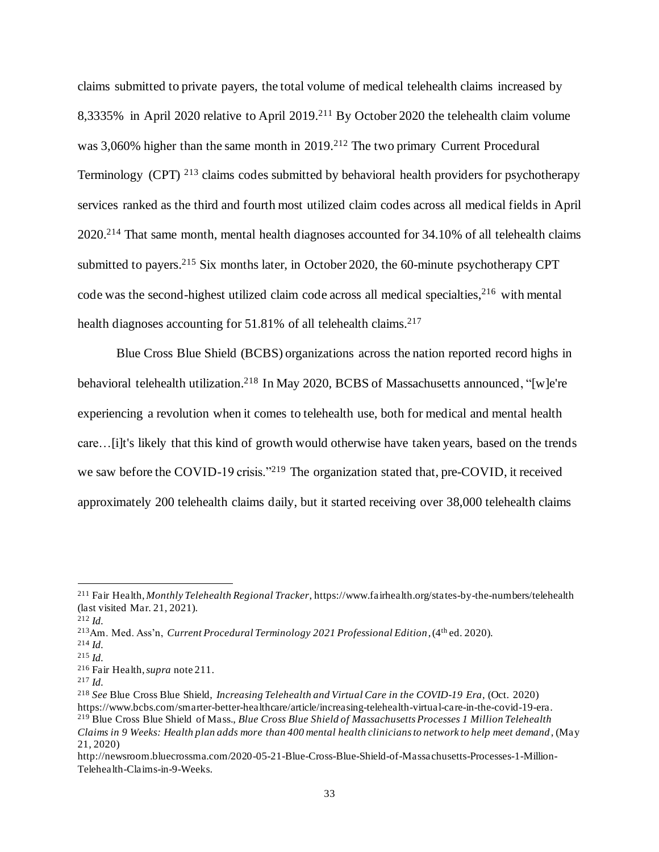claims submitted to private payers, the total volume of medical telehealth claims increased by 8,3335% in April 2020 relative to April 2019.<sup>211</sup> By October 2020 the telehealth claim volume was 3,060% higher than the same month in 2019.<sup>212</sup> The two primary Current Procedural Terminology (CPT) <sup>213</sup> claims codes submitted by behavioral health providers for psychotherapy services ranked as the third and fourth most utilized claim codes across all medical fields in April 2020.<sup>214</sup> That same month, mental health diagnoses accounted for 34.10% of all telehealth claims submitted to payers.<sup>215</sup> Six months later, in October 2020, the 60-minute psychotherapy CPT code was the second-highest utilized claim code across all medical specialties, <sup>216</sup> with mental health diagnoses accounting for 51.81% of all telehealth claims.<sup>217</sup>

Blue Cross Blue Shield (BCBS) organizations across the nation reported record highs in behavioral telehealth utilization.<sup>218</sup> In May 2020, BCBS of Massachusetts announced, "[w]e're experiencing a revolution when it comes to telehealth use, both for medical and mental health care…[i]t's likely that this kind of growth would otherwise have taken years, based on the trends we saw before the COVID-19 crisis."<sup>219</sup> The organization stated that, pre-COVID, it received approximately 200 telehealth claims daily, but it started receiving over 38,000 telehealth claims

<sup>211</sup> Fair Health, *Monthly Telehealth Regional Tracker*, https://www.fairhealth.org/states-by-the-numbers/telehealth (last visited Mar. 21, 2021).

<sup>212</sup> *Id.*

<sup>213</sup>Am. Med. Ass'n, *Current Procedural Terminology 2021 Professional Edition*, (4th ed. 2020).

<sup>214</sup> *Id.*

<sup>215</sup> *Id.*

<sup>216</sup> Fair Health, *supra* note 211.

<sup>217</sup> *Id.*

<sup>218</sup> *See* Blue Cross Blue Shield, *Increasing Telehealth and Virtual Care in the COVID-19 Era*, (Oct. 2020) https://www.bcbs.com/smarter-better-healthcare/article/increasing-telehealth-virtual-care-in-the-covid-19-era. <sup>219</sup> Blue Cross Blue Shield of Mass., *Blue Cross Blue Shield of Massachusetts Processes 1 Million Telehealth Claims in 9 Weeks: Health plan adds more than 400 mental health clinicians to network to help meet demand*, (May 21, 2020)

http://newsroom.bluecrossma.com/2020-05-21-Blue-Cross-Blue-Shield-of-Massachusetts-Processes-1-Million-Telehealth-Claims-in-9-Weeks.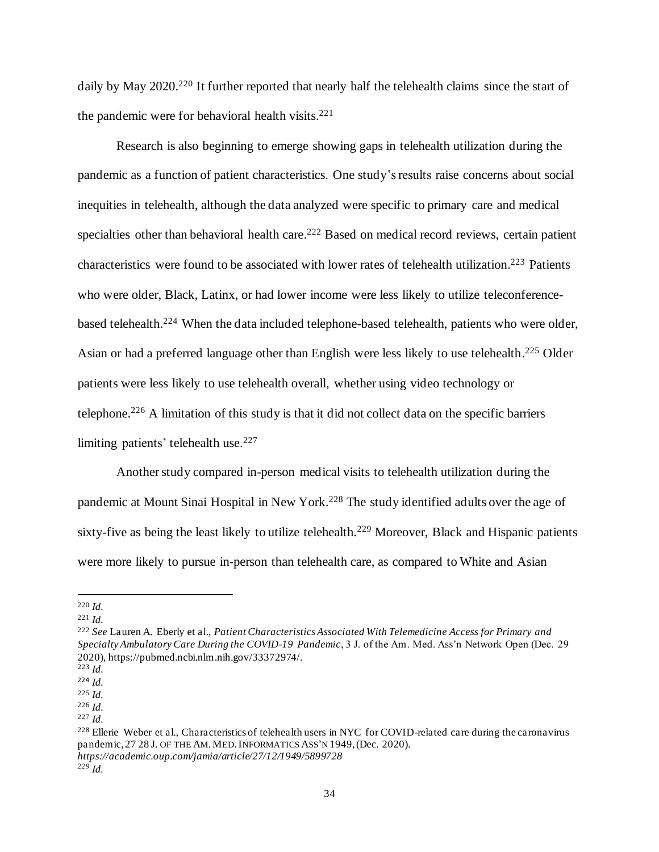daily by May 2020.<sup>220</sup> It further reported that nearly half the telehealth claims since the start of the pandemic were for behavioral health visits. 221

Research is also beginning to emerge showing gaps in telehealth utilization during the pandemic as a function of patient characteristics. One study's results raise concerns about social inequities in telehealth, although the data analyzed were specific to primary care and medical specialties other than behavioral health care.<sup>222</sup> Based on medical record reviews, certain patient characteristics were found to be associated with lower rates of telehealth utilization. <sup>223</sup> Patients who were older, Black, Latinx, or had lower income were less likely to utilize teleconferencebased telehealth.<sup>224</sup> When the data included telephone-based telehealth, patients who were older, Asian or had a preferred language other than English were less likely to use telehealth.<sup>225</sup> Older patients were less likely to use telehealth overall, whether using video technology or telephone. <sup>226</sup> A limitation of this study is that it did not collect data on the specific barriers limiting patients' telehealth use.<sup>227</sup>

Another study compared in-person medical visits to telehealth utilization during the pandemic at Mount Sinai Hospital in New York.<sup>228</sup> The study identified adults over the age of sixty-five as being the least likely to utilize telehealth.<sup>229</sup> Moreover, Black and Hispanic patients were more likely to pursue in-person than telehealth care, as compared to White and Asian

<sup>220</sup> *Id.*

<sup>221</sup> *Id.*

<sup>222</sup> *See* Lauren A. Eberly et al., *Patient Characteristics Associated With Telemedicine Access for Primary and Specialty Ambulatory Care During the COVID-19 Pandemic*, 3 J. of the Am. Med. Ass'n Network Open (Dec. 29 2020), https://pubmed.ncbi.nlm.nih.gov/33372974/.

<sup>223</sup> *Id.*

<sup>224</sup> *Id.* <sup>225</sup> *Id.*

<sup>226</sup> *Id.*

<sup>227</sup> *Id.*

<sup>&</sup>lt;sup>228</sup> Ellerie Weber et al., Characteristics of telehealth users in NYC for COVID-related care during the caronavirus pandemic, 27 28 J. OF THE AM. MED. INFORMATICS ASS'N 1949, (Dec. 2020). *https://academic.oup.com/jamia/article/27/12/1949/5899728*

*<sup>229</sup> Id.*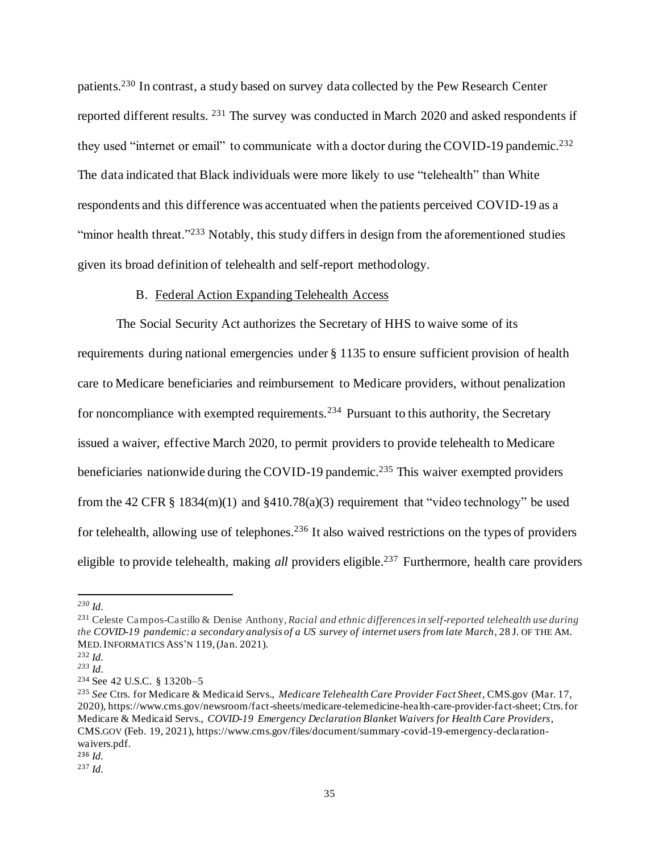patients.<sup>230</sup> In contrast, a study based on survey data collected by the Pew Research Center reported different results. <sup>231</sup> The survey was conducted in March 2020 and asked respondents if they used "internet or email" to communicate with a doctor during the COVID-19 pandemic.<sup>232</sup> The data indicated that Black individuals were more likely to use "telehealth" than White respondents and this difference was accentuated when the patients perceived COVID-19 as a "minor health threat."<sup>233</sup> Notably, this study differs in design from the aforementioned studies given its broad definition of telehealth and self-report methodology.

#### B. Federal Action Expanding Telehealth Access

The Social Security Act authorizes the Secretary of HHS to waive some of its requirements during national emergencies under § 1135 to ensure sufficient provision of health care to Medicare beneficiaries and reimbursement to Medicare providers, without penalization for noncompliance with exempted requirements.<sup>234</sup> Pursuant to this authority, the Secretary issued a waiver, effective March 2020, to permit providers to provide telehealth to Medicare beneficiaries nationwide during the COVID-19 pandemic.<sup>235</sup> This waiver exempted providers from the 42 CFR § 1834(m)(1) and §410.78(a)(3) requirement that "video technology" be used for telehealth, allowing use of telephones. <sup>236</sup> It also waived restrictions on the types of providers eligible to provide telehealth, making *all* providers eligible. <sup>237</sup> Furthermore, health care providers

<sup>235</sup> *See* Ctrs. for Medicare & Medicaid Servs., *Medicare Telehealth Care Provider Fact Sheet*, CMS.gov (Mar. 17, 2020), https://www.cms.gov/newsroom/fact-sheets/medicare-telemedicine-health-care-provider-fact-sheet; Ctrs. for Medicare & Medicaid Servs., *COVID-19 Emergency Declaration Blanket Waivers for Health Care Providers*, CMS.GOV (Feb. 19, 2021), https://www.cms.gov/files/document/summary-covid-19-emergency-declarationwaivers.pdf.

*<sup>230</sup> Id.*

<sup>231</sup> Celeste Campos-Castillo & Denise Anthony, *Racial and ethnic differences in self-reported telehealth use during the COVID-19 pandemic: a secondary analysis of a US survey of internet users from late March*, 28 J. OF THE AM. MED.INFORMATICS ASS'N 119, (Jan. 2021).

<sup>232</sup> *Id.*

*<sup>233</sup> Id.*

<sup>234</sup> See 42 U.S.C. § 1320b–5

<sup>236</sup> *Id.*

<sup>237</sup> *Id.*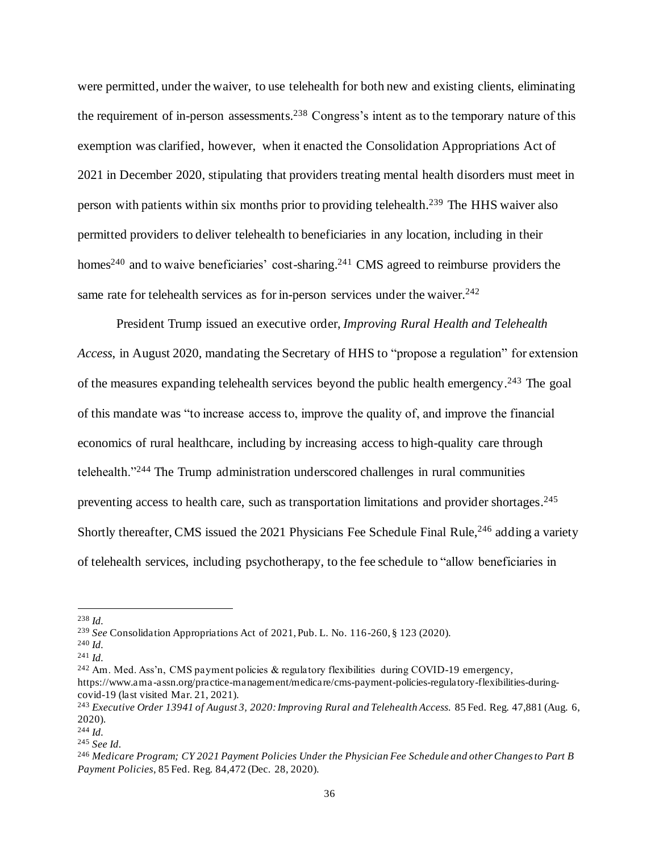were permitted, under the waiver, to use telehealth for both new and existing clients, eliminating the requirement of in-person assessments. <sup>238</sup> Congress's intent as to the temporary nature of this exemption was clarified, however, when it enacted the Consolidation Appropriations Act of 2021 in December 2020, stipulating that providers treating mental health disorders must meet in person with patients within six months prior to providing telehealth.<sup>239</sup> The HHS waiver also permitted providers to deliver telehealth to beneficiaries in any location, including in their homes<sup>240</sup> and to waive beneficiaries' cost-sharing.<sup>241</sup> CMS agreed to reimburse providers the same rate for telehealth services as for in-person services under the waiver.<sup>242</sup>

President Trump issued an executive order, *Improving Rural Health and Telehealth Access*, in August 2020, mandating the Secretary of HHS to "propose a regulation" for extension of the measures expanding telehealth services beyond the public health emergency.<sup>243</sup> The goal of this mandate was "to increase access to, improve the quality of, and improve the financial economics of rural healthcare, including by increasing access to high-quality care through telehealth."<sup>244</sup> The Trump administration underscored challenges in rural communities preventing access to health care, such as transportation limitations and provider shortages.<sup>245</sup> Shortly thereafter, CMS issued the 2021 Physicians Fee Schedule Final Rule,<sup>246</sup> adding a variety of telehealth services, including psychotherapy, to the fee schedule to "allow beneficiaries in

<sup>238</sup> *Id.*

<sup>239</sup> *See* Consolidation Appropriations Act of 2021, Pub. L. No. 116-260, § 123 (2020).

<sup>240</sup> *Id.*

<sup>241</sup> *Id.*

<sup>&</sup>lt;sup>242</sup> Am. Med. Ass'n, CMS payment policies & regulatory flexibilities during COVID-19 emergency, https://www.ama -assn.org/practice-management/medicare/cms-payment-policies-regulatory-flexibilities-duringcovid-19 (last visited Mar. 21, 2021).

<sup>243</sup> *Executive Order 13941 of August 3, 2020: Improving Rural and Telehealth Access.* 85 Fed. Reg. 47,881 (Aug. 6, 2020).

<sup>244</sup> *Id.*

<sup>245</sup> *See Id.*

<sup>246</sup> *Medicare Program; CY 2021 Payment Policies Under the Physician Fee Schedule and other Changes to Part B Payment Policies*, 85 Fed. Reg. 84,472 (Dec. 28, 2020).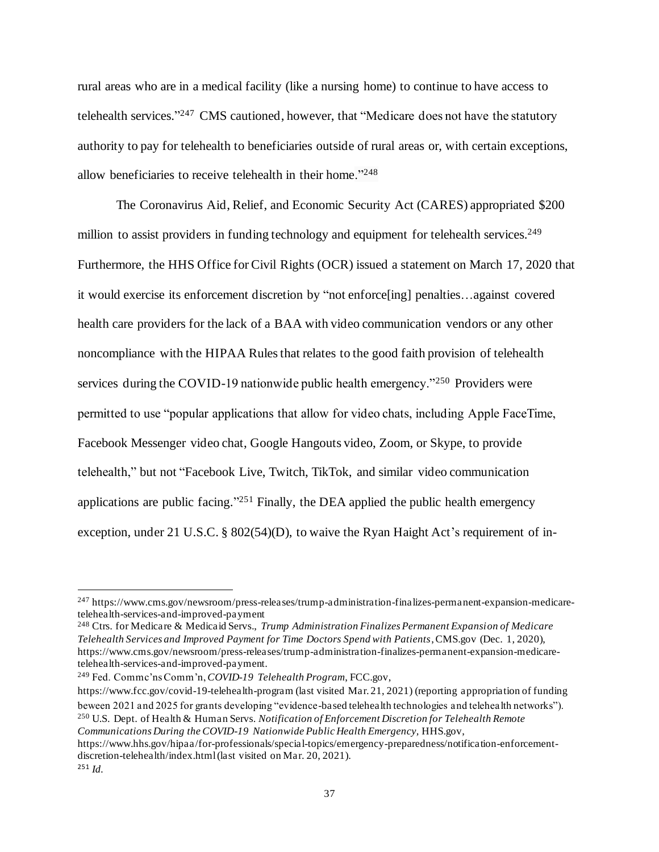rural areas who are in a medical facility (like a nursing home) to continue to have access to telehealth services."<sup>247</sup> CMS cautioned, however, that "Medicare does not have the statutory authority to pay for telehealth to beneficiaries outside of rural areas or, with certain exceptions, allow beneficiaries to receive telehealth in their home."<sup>248</sup>

The Coronavirus Aid, Relief, and Economic Security Act (CARES) appropriated \$200 million to assist providers in funding technology and equipment for telehealth services.<sup>249</sup> Furthermore, the HHS Office for Civil Rights (OCR) issued a statement on March 17, 2020 that it would exercise its enforcement discretion by "not enforce[ing] penalties…against covered health care providers for the lack of a BAA with video communication vendors or any other noncompliance with the HIPAA Rules that relates to the good faith provision of telehealth services during the COVID-19 nationwide public health emergency."<sup>250</sup> Providers were permitted to use "popular applications that allow for video chats, including Apple FaceTime, Facebook Messenger video chat, Google Hangouts video, Zoom, or Skype, to provide telehealth," but not "Facebook Live, Twitch, TikTok, and similar video communication applications are public facing." $251$  Finally, the DEA applied the public health emergency exception, under 21 U.S.C. § 802(54)(D), to waive the Ryan Haight Act's requirement of in-

https://www.fcc.gov/covid-19-telehealth-program (last visited Mar. 21, 2021) (reporting appropriation of funding beween 2021 and 2025 for grants developing "evidence-based telehealth technologies and telehealth networks"). <sup>250</sup> U.S. Dept. of Health & Human Servs. *Notification of Enforcement Discretion for Telehealth Remote Communications During the COVID-19 Nationwide Public Health Emergency,* HHS.gov, https://www.hhs.gov/hipaa/for-professionals/special-topics/emergency-preparedness/notification-enforcementdiscretion-telehealth/index.html (last visited on Mar. 20, 2021). <sup>251</sup> *Id.*

<sup>247</sup> https://www.cms.gov/newsroom/press-releases/trump-administration-finalizes-permanent-expansion-medicaretelehealth-services-and-improved-payment

<sup>248</sup> Ctrs. for Medicare & Medicaid Servs., *Trump Administration Finalizes Permanent Expansion of Medicare Telehealth Services and Improved Payment for Time Doctors Spend with Patients*, CMS.gov (Dec. 1, 2020), https://www.cms.gov/newsroom/press-releases/trump-administration-finalizes-permanent-expansion-medicaretelehealth-services-and-improved-payment.

<sup>249</sup> Fed. Commc'ns Comm'n, *COVID-19 Telehealth Program*, FCC.gov,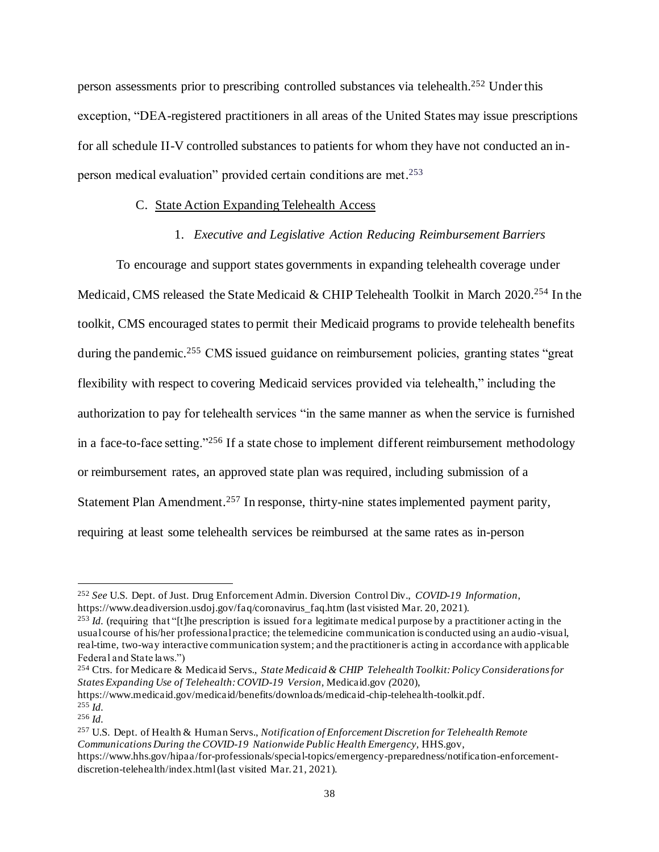person assessments prior to prescribing controlled substances via telehealth. <sup>252</sup> Under this exception, "DEA-registered practitioners in all areas of the United States may issue prescriptions for all schedule II-V controlled substances to patients for whom they have not conducted an inperson medical evaluation" provided certain conditions are met.<sup>253</sup>

#### C. State Action Expanding Telehealth Access

#### 1. *Executive and Legislative Action Reducing Reimbursement Barriers*

To encourage and support states governments in expanding telehealth coverage under Medicaid, CMS released the State Medicaid & CHIP Telehealth Toolkit in March 2020.<sup>254</sup> In the toolkit, CMS encouraged states to permit their Medicaid programs to provide telehealth benefits during the pandemic.<sup>255</sup> CMS issued guidance on reimbursement policies, granting states "great flexibility with respect to covering Medicaid services provided via telehealth," including the authorization to pay for telehealth services "in the same manner as when the service is furnished in a face-to-face setting."<sup>256</sup> If a state chose to implement different reimbursement methodology or reimbursement rates, an approved state plan was required, including submission of a Statement Plan Amendment.<sup>257</sup> In response, thirty-nine states implemented payment parity, requiring at least some telehealth services be reimbursed at the same rates as in-person

https://www.medicaid.gov/medicaid/benefits/downloads/medicaid-chip-telehealth-toolkit.pdf. <sup>255</sup> *Id.*

<sup>252</sup> *See* U.S. Dept. of Just. Drug Enforcement Admin. Diversion Control Div., *COVID-19 Information*, https://www.deadiversion.usdoj.gov/faq/coronavirus\_faq.htm (last visisted Mar. 20, 2021).

<sup>&</sup>lt;sup>253</sup> *Id.* (requiring that "[t]he prescription is issued for a legitimate medical purpose by a practitioner acting in the usual course of his/her professional practice; the telemedicine communication is conducted using an audio -visual, real-time, two-way interactive communication system; and the practitioner is acting in accordance with applicable Federal and State laws.")

<sup>254</sup> Ctrs. for Medicare & Medicaid Servs., *State Medicaid & CHIP Telehealth Toolkit: Policy Considerations for States Expanding Use of Telehealth: COVID-19 Version,* Medicaid.gov *(*2020),

<sup>256</sup> *Id.*

<sup>257</sup> U.S. Dept. of Health & Human Servs., *Notification of Enforcement Discretion for Telehealth Remote Communications During the COVID-19 Nationwide Public Health Emergency,* HHS.gov, https://www.hhs.gov/hipaa/for-professionals/special-topics/emergency-preparedness/notification-enforcementdiscretion-telehealth/index.html (last visited Mar. 21, 2021).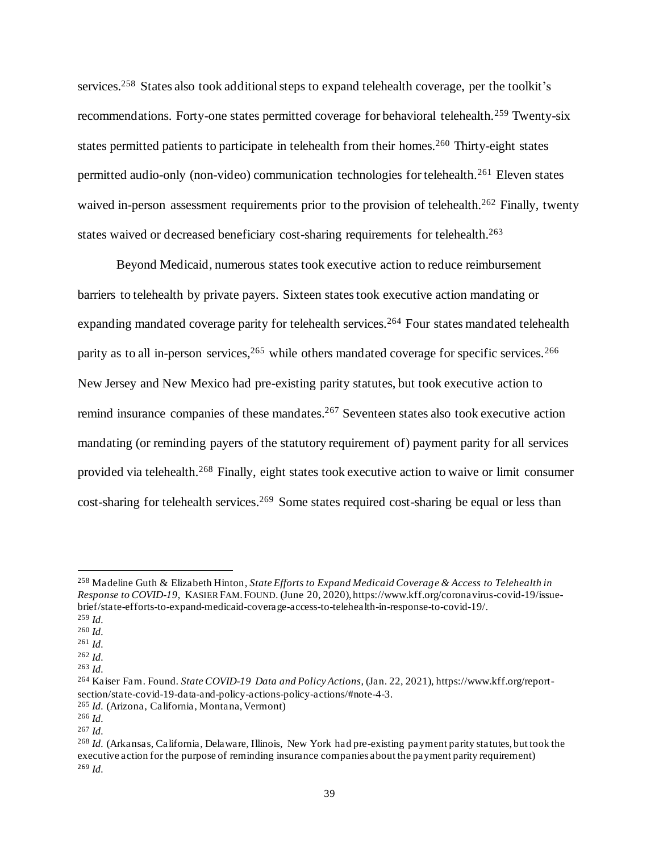services.<sup>258</sup> States also took additional steps to expand telehealth coverage, per the toolkit's recommendations. Forty-one states permitted coverage for behavioral telehealth.<sup>259</sup> Twenty-six states permitted patients to participate in telehealth from their homes.<sup>260</sup> Thirty-eight states permitted audio-only (non-video) communication technologies for telehealth.<sup>261</sup> Eleven states waived in-person assessment requirements prior to the provision of telehealth.<sup>262</sup> Finally, twenty states waived or decreased beneficiary cost-sharing requirements for telehealth.<sup>263</sup>

Beyond Medicaid, numerous states took executive action to reduce reimbursement barriers to telehealth by private payers. Sixteen statestook executive action mandating or expanding mandated coverage parity for telehealth services.<sup>264</sup> Four states mandated telehealth parity as to all in-person services, 265 while others mandated coverage for specific services. 266 New Jersey and New Mexico had pre-existing parity statutes, but took executive action to remind insurance companies of these mandates.<sup>267</sup> Seventeen states also took executive action mandating (or reminding payers of the statutory requirement of) payment parity for all services provided via telehealth.<sup>268</sup> Finally, eight states took executive action to waive or limit consumer cost-sharing for telehealth services.<sup>269</sup> Some states required cost-sharing be equal or less than

<sup>258</sup> Madeline Guth & Elizabeth Hinton*, State Efforts to Expand Medicaid Coverage & Access to Telehealth in Response to COVID-19*, KASIER FAM.FOUND. (June 20, 2020), https://www.kff.org/coronavirus-covid-19/issuebrief/state-efforts-to-expand-medicaid-coverage-access-to-telehealth-in-response-to-covid-19/.

<sup>259</sup> *Id.*

<sup>260</sup> *Id.*

<sup>261</sup> *Id.*

<sup>262</sup> *Id.*

<sup>263</sup> *Id.*

<sup>264</sup> Kaiser Fam. Found. *State COVID-19 Data and Policy Actions*, (Jan. 22, 2021), https://www.kff.org/reportsection/state-covid-19-data-and-policy-actions-policy-actions/#note-4-3.

<sup>265</sup> *Id.* (Arizona, California, Montana, Vermont)

<sup>266</sup> *Id.*

<sup>267</sup> *Id.*

<sup>268</sup> *Id.* (Arkansas, California, Delaware, Illinois, New York had pre-existing payment parity statutes, but took the executive action for the purpose of reminding insurance companies about the payment parity requirement) <sup>269</sup> *Id.*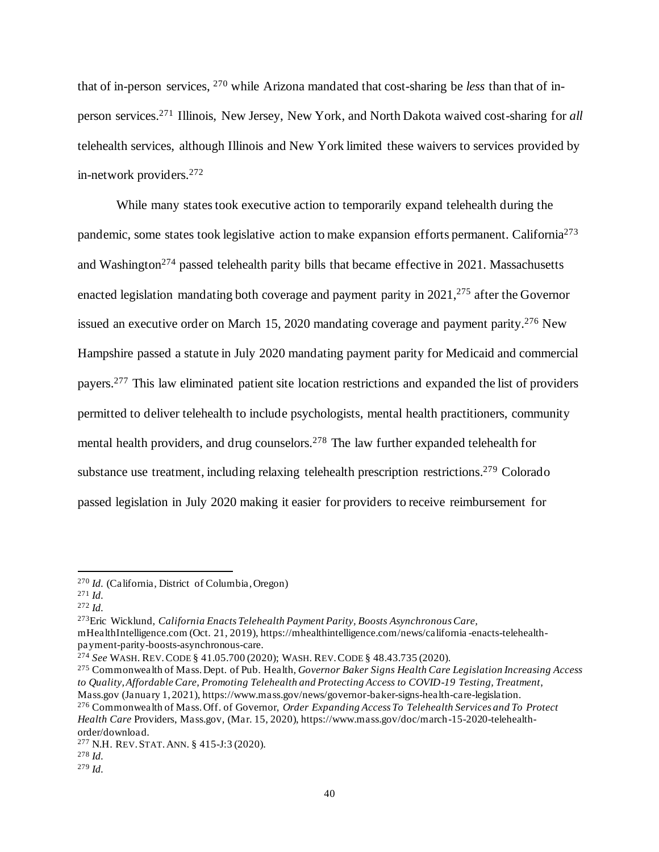that of in-person services, <sup>270</sup> while Arizona mandated that cost-sharing be *less* than that of inperson services.<sup>271</sup> Illinois, New Jersey, New York, and North Dakota waived cost-sharing for *all* telehealth services, although Illinois and New York limited these waivers to services provided by in-network providers.<sup>272</sup>

While many states took executive action to temporarily expand telehealth during the pandemic, some states took legislative action to make expansion efforts permanent. California<sup>273</sup> and Washington<sup>274</sup> passed telehealth parity bills that became effective in 2021. Massachusetts enacted legislation mandating both coverage and payment parity in 2021,<sup>275</sup> after the Governor issued an executive order on March 15, 2020 mandating coverage and payment parity. <sup>276</sup> New Hampshire passed a statute in July 2020 mandating payment parity for Medicaid and commercial payers.<sup>277</sup> This law eliminated patient site location restrictions and expanded the list of providers permitted to deliver telehealth to include psychologists, mental health practitioners, community mental health providers, and drug counselors.<sup>278</sup> The law further expanded telehealth for substance use treatment, including relaxing telehealth prescription restrictions.<sup>279</sup> Colorado passed legislation in July 2020 making it easier for providers to receive reimbursement for

<sup>273</sup>Eric Wicklund, *California Enacts Telehealth Payment Parity, Boosts Asynchronous Care,*

mHealthIntelligence.com (Oct. 21, 2019), https://mhealthintelligence.com/news/california -enacts-telehealthpayment-parity-boosts-asynchronous-care.

<sup>274</sup> *See* WASH. REV.CODE § 41.05.700 (2020); WASH. REV.CODE § 48.43.735 (2020).

<sup>275</sup> Commonwealth of Mass. Dept. of Pub. Health, *Governor Baker Signs Health Care Legislation Increasing Access to Quality, Affordable Care, Promoting Telehealth and Protecting Access to COVID-19 Testing, Treatment*, Mass.gov (January 1, 2021), https://www.mass.gov/news/governor-baker-signs-health-care-legislation.

<sup>276</sup> Commonwealth of Mass. Off. of Governor, *Order Expanding Access To Telehealth Services and To Protect Health Care* Providers, Mass.gov, (Mar. 15, 2020), https://www.mass.gov/doc/march-15-2020-telehealthorder/download.

<sup>270</sup> *Id.* (California, District of Columbia, Oregon)

<sup>271</sup> *Id.*

<sup>272</sup> *Id.*

<sup>277</sup> N.H. REV.STAT.ANN. § 415-J:3 (2020).

<sup>278</sup> *Id.*

<sup>279</sup> *Id.*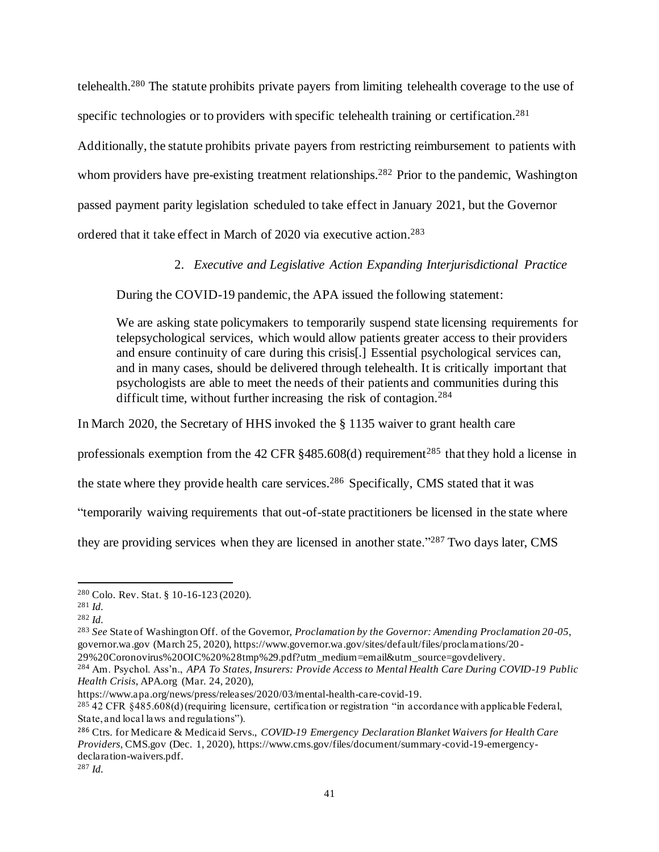telehealth.<sup>280</sup> The statute prohibits private payers from limiting telehealth coverage to the use of specific technologies or to providers with specific telehealth training or certification.<sup>281</sup> Additionally, the statute prohibits private payers from restricting reimbursement to patients with whom providers have pre-existing treatment relationships.<sup>282</sup> Prior to the pandemic, Washington passed payment parity legislation scheduled to take effect in January 2021, but the Governor

ordered that it take effect in March of 2020 via executive action. 283

## 2. *Executive and Legislative Action Expanding Interjurisdictional Practice*

During the COVID-19 pandemic, the APA issued the following statement:

We are asking state policymakers to temporarily suspend state licensing requirements for telepsychological services, which would allow patients greater access to their providers and ensure continuity of care during this crisis[.] Essential psychological services can, and in many cases, should be delivered through telehealth. It is critically important that psychologists are able to meet the needs of their patients and communities during this difficult time, without further increasing the risk of contagion.<sup>284</sup>

In March 2020, the Secretary of HHS invoked the § 1135 waiver to grant health care

professionals exemption from the 42 CFR  $§$ 485.608(d) requirement<sup>285</sup> that they hold a license in

the state where they provide health care services. <sup>286</sup> Specifically, CMS stated that it was

"temporarily waiving requirements that out-of-state practitioners be licensed in the state where

they are providing services when they are licensed in another state."<sup>287</sup> Two days later, CMS

<sup>283</sup> *See* State of Washington Off. of the Governor, *Proclamation by the Governor: Amending Proclamation 20-05*, governor.wa.gov (March 25, 2020), https://www.governor.wa.gov/sites/default/files/proclamations/20 -

29%20Coronovirus%20OIC%20%28tmp%29.pdf?utm\_medium=email&utm\_source=govdelivery.

<sup>284</sup> Am. Psychol. Ass'n., *APA To States, Insurers: Provide Access to Mental Health Care During COVID-19 Public Health Crisis*, APA.org (Mar. 24, 2020),

https://www.apa.org/news/press/releases/2020/03/mental-health-care-covid-19.

 $^{285}$  42 CFR §485.608(d) (requiring licensure, certification or registration "in accordance with applicable Federal, State, and local laws and regulations").

<sup>286</sup> Ctrs. for Medicare & Medicaid Servs., *COVID-19 Emergency Declaration Blanket Waivers for Health Care Providers*, CMS.gov (Dec. 1, 2020), https://www.cms.gov/files/document/summary-covid-19-emergencydeclaration-waivers.pdf.

<sup>287</sup> *Id.*

<sup>280</sup> Colo. Rev. Stat. § 10-16-123 (2020).

<sup>281</sup> *Id.*

<sup>282</sup> *Id.*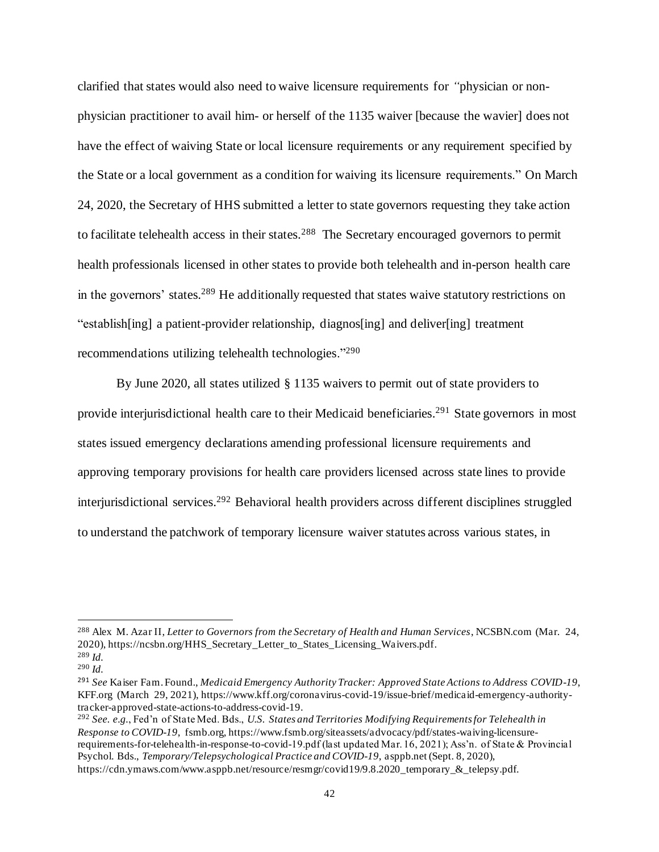clarified that states would also need to waive licensure requirements for *"*physician or nonphysician practitioner to avail him- or herself of the 1135 waiver [because the wavier] does not have the effect of waiving State or local licensure requirements or any requirement specified by the State or a local government as a condition for waiving its licensure requirements." On March 24, 2020, the Secretary of HHS submitted a letter to state governors requesting they take action to facilitate telehealth access in their states.<sup>288</sup> The Secretary encouraged governors to permit health professionals licensed in other states to provide both telehealth and in-person health care in the governors' states.<sup>289</sup> He additionally requested that states waive statutory restrictions on "establish[ing] a patient-provider relationship, diagnos[ing] and deliver[ing] treatment recommendations utilizing telehealth technologies."<sup>290</sup>

By June 2020, all states utilized § 1135 waivers to permit out of state providers to provide interjurisdictional health care to their Medicaid beneficiaries.<sup>291</sup> State governors in most states issued emergency declarations amending professional licensure requirements and approving temporary provisions for health care providers licensed across state lines to provide interjurisdictional services. <sup>292</sup> Behavioral health providers across different disciplines struggled to understand the patchwork of temporary licensure waiver statutes across various states, in

<sup>288</sup> Alex M. Azar II, *Letter to Governors from the Secretary of Health and Human Services*, NCSBN.com (Mar. 24, 2020), https://ncsbn.org/HHS\_Secretary\_Letter\_to\_States\_Licensing\_Waivers.pdf. <sup>289</sup> *Id.*

<sup>290</sup> *Id.*

<sup>291</sup> *See* Kaiser Fam. Found., *Medicaid Emergency Authority Tracker: Approved State Actions to Address COVID-19*, KFF.org (March 29, 2021), https://www.kff.org/coronavirus-covid-19/issue-brief/medicaid-emergency-authoritytracker-approved-state-actions-to-address-covid-19.

<sup>292</sup> *See. e.g.*, Fed'n of State Med. Bds., *U.S. States and Territories Modifying Requirements for Telehealth in Response to COVID-19*, fsmb.org, https://www.fsmb.org/siteassets/advocacy/pdf/states-waiving-licensurerequirements-for-telehealth-in-response-to-covid-19.pdf (last updated Mar. 16, 2021); Ass'n. of State & Provincial Psychol. Bds., *Temporary/Telepsychological Practice and COVID-19*, asppb.net (Sept. 8, 2020), https://cdn.ymaws.com/www.asppb.net/resource/resmgr/covid19/9.8.2020\_temporary\_&\_telepsy.pdf.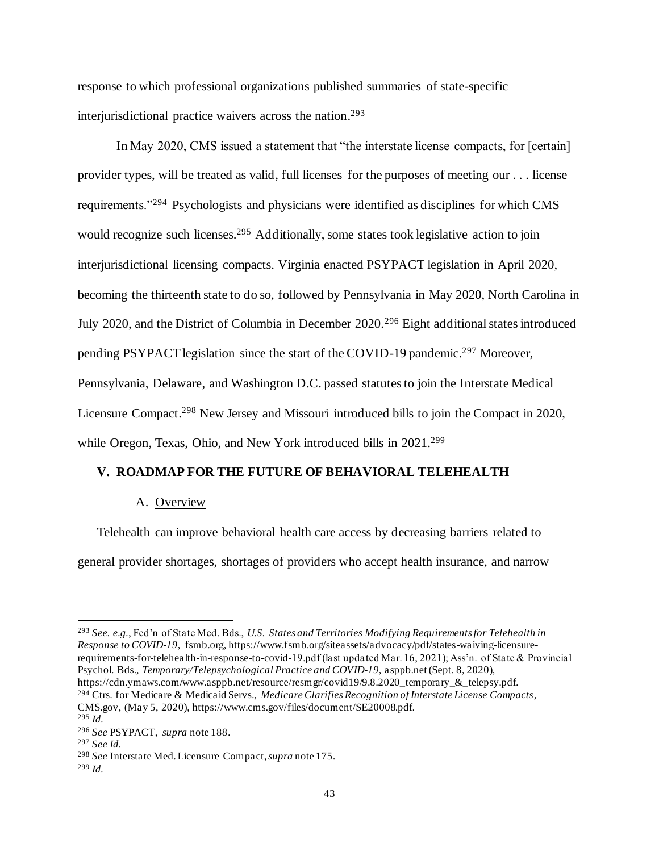response to which professional organizations published summaries of state-specific interjurisdictional practice waivers across the nation. 293

In May 2020, CMS issued a statement that "the interstate license compacts, for [certain] provider types, will be treated as valid, full licenses for the purposes of meeting our . . . license requirements."<sup>294</sup> Psychologists and physicians were identified as disciplines for which CMS would recognize such licenses.<sup>295</sup> Additionally, some states took legislative action to join interjurisdictional licensing compacts. Virginia enacted PSYPACT legislation in April 2020, becoming the thirteenth state to do so, followed by Pennsylvania in May 2020, North Carolina in July 2020, and the District of Columbia in December 2020.<sup>296</sup> Eight additional states introduced pending PSYPACT legislation since the start of the COVID-19 pandemic.<sup>297</sup> Moreover, Pennsylvania, Delaware, and Washington D.C. passed statutes to join the Interstate Medical Licensure Compact.<sup>298</sup> New Jersey and Missouri introduced bills to join the Compact in 2020, while Oregon, Texas, Ohio, and New York introduced bills in 2021.<sup>299</sup>

#### **V. ROADMAP FOR THE FUTURE OF BEHAVIORAL TELEHEALTH**

#### A. Overview

Telehealth can improve behavioral health care access by decreasing barriers related to general provider shortages, shortages of providers who accept health insurance, and narrow

<sup>293</sup> *See. e.g.*, Fed'n of State Med. Bds., *U.S. States and Territories Modifying Requirements for Telehealth in Response to COVID-19*, fsmb.org, https://www.fsmb.org/siteassets/advocacy/pdf/states-waiving-licensurerequirements-for-telehealth-in-response-to-covid-19.pdf (last updated Mar. 16, 2021); Ass'n. of State & Provincial Psychol. Bds., *Temporary/Telepsychological Practice and COVID-19*, asppb.net (Sept. 8, 2020), https://cdn.ymaws.com/www.asppb.net/resource/resmgr/covid19/9.8.2020\_temporary\_&\_telepsy.pdf. <sup>294</sup> Ctrs. for Medicare & Medicaid Servs., *Medicare Clarifies Recognition of Interstate License Compacts*,

CMS.gov, (May 5, 2020), https://www.cms.gov/files/document/SE20008.pdf.

<sup>295</sup> *Id.*

<sup>296</sup> *See* PSYPACT, *supra* note 188.

<sup>297</sup> *See Id.*

<sup>298</sup> *See* Interstate Med. Licensure Compact, *supra* note 175.

<sup>299</sup> *Id.*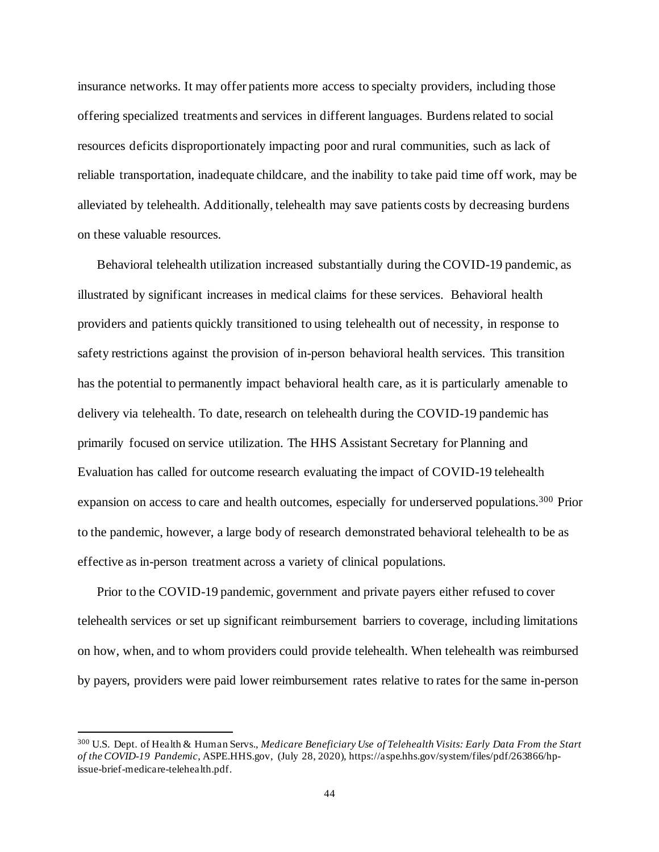insurance networks. It may offer patients more access to specialty providers, including those offering specialized treatments and services in different languages. Burdens related to social resources deficits disproportionately impacting poor and rural communities, such as lack of reliable transportation, inadequate childcare, and the inability to take paid time off work, may be alleviated by telehealth. Additionally, telehealth may save patients costs by decreasing burdens on these valuable resources.

Behavioral telehealth utilization increased substantially during the COVID-19 pandemic, as illustrated by significant increases in medical claims for these services. Behavioral health providers and patients quickly transitioned to using telehealth out of necessity, in response to safety restrictions against the provision of in-person behavioral health services. This transition has the potential to permanently impact behavioral health care, as it is particularly amenable to delivery via telehealth. To date, research on telehealth during the COVID-19 pandemic has primarily focused on service utilization. The HHS Assistant Secretary for Planning and Evaluation has called for outcome research evaluating the impact of COVID-19 telehealth expansion on access to care and health outcomes, especially for underserved populations.<sup>300</sup> Prior to the pandemic, however, a large body of research demonstrated behavioral telehealth to be as effective as in-person treatment across a variety of clinical populations.

Prior to the COVID-19 pandemic, government and private payers either refused to cover telehealth services or set up significant reimbursement barriers to coverage, including limitations on how, when, and to whom providers could provide telehealth. When telehealth was reimbursed by payers, providers were paid lower reimbursement rates relative to rates for the same in-person

<sup>300</sup> U.S. Dept. of Health & Human Servs., *Medicare Beneficiary Use of Telehealth Visits: Early Data From the Start of the COVID-19 Pandemic*, ASPE.HHS.gov, (July 28, 2020), https://aspe.hhs.gov/system/files/pdf/263866/hpissue-brief-medicare-telehealth.pdf.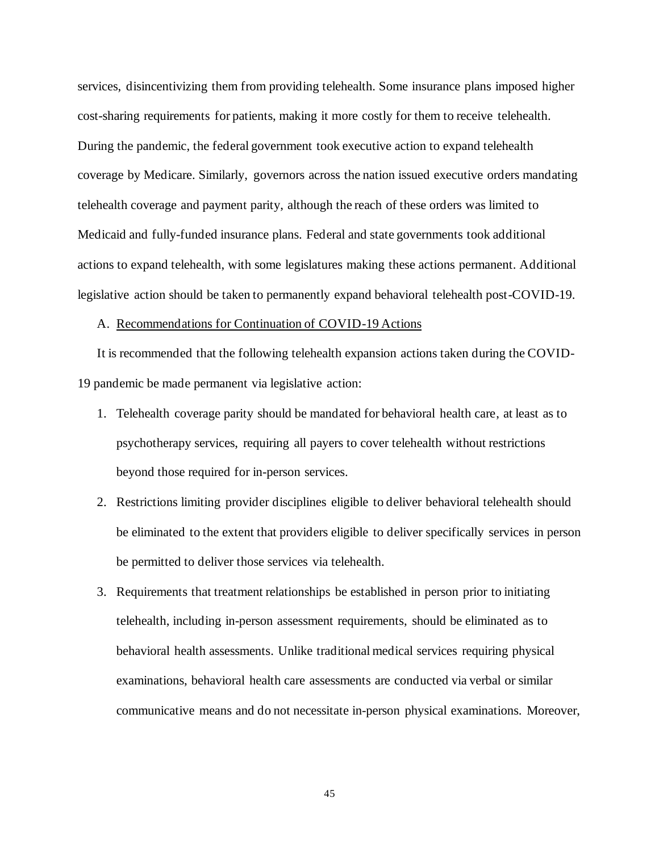services, disincentivizing them from providing telehealth. Some insurance plans imposed higher cost-sharing requirements for patients, making it more costly for them to receive telehealth. During the pandemic, the federal government took executive action to expand telehealth coverage by Medicare. Similarly, governors across the nation issued executive orders mandating telehealth coverage and payment parity, although the reach of these orders was limited to Medicaid and fully-funded insurance plans. Federal and state governments took additional actions to expand telehealth, with some legislatures making these actions permanent. Additional legislative action should be taken to permanently expand behavioral telehealth post-COVID-19.

#### A. Recommendations for Continuation of COVID-19 Actions

It is recommended that the following telehealth expansion actions taken during the COVID-19 pandemic be made permanent via legislative action:

- 1. Telehealth coverage parity should be mandated for behavioral health care, at least as to psychotherapy services, requiring all payers to cover telehealth without restrictions beyond those required for in-person services.
- 2. Restrictions limiting provider disciplines eligible to deliver behavioral telehealth should be eliminated to the extent that providers eligible to deliver specifically services in person be permitted to deliver those services via telehealth.
- 3. Requirements that treatment relationships be established in person prior to initiating telehealth, including in-person assessment requirements, should be eliminated as to behavioral health assessments. Unlike traditional medical services requiring physical examinations, behavioral health care assessments are conducted via verbal or similar communicative means and do not necessitate in-person physical examinations. Moreover,

45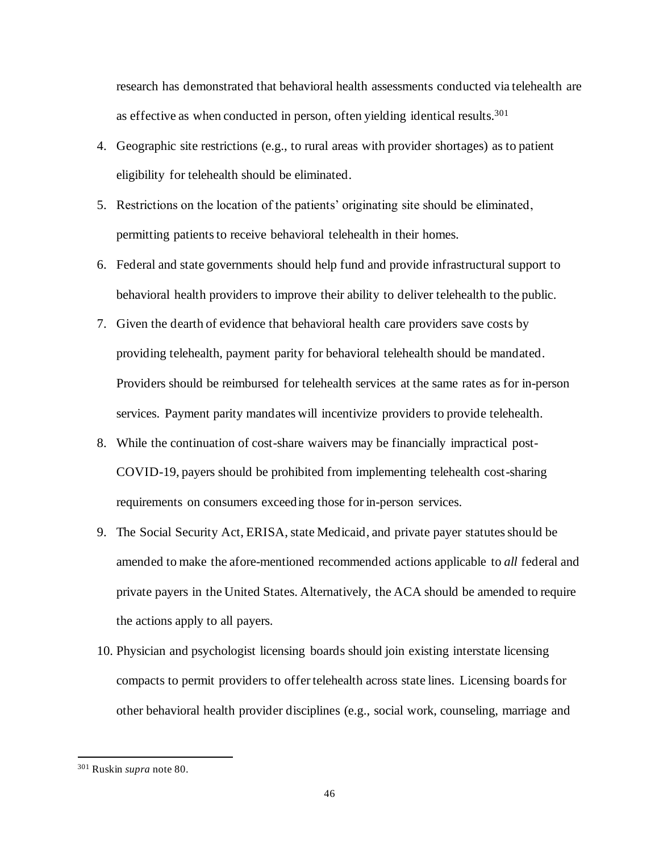research has demonstrated that behavioral health assessments conducted via telehealth are as effective as when conducted in person, often yielding identical results. 301

- 4. Geographic site restrictions (e.g., to rural areas with provider shortages) as to patient eligibility for telehealth should be eliminated.
- 5. Restrictions on the location of the patients' originating site should be eliminated, permitting patients to receive behavioral telehealth in their homes.
- 6. Federal and state governments should help fund and provide infrastructural support to behavioral health providers to improve their ability to deliver telehealth to the public.
- 7. Given the dearth of evidence that behavioral health care providers save costs by providing telehealth, payment parity for behavioral telehealth should be mandated. Providers should be reimbursed for telehealth services at the same rates as for in-person services. Payment parity mandates will incentivize providers to provide telehealth.
- 8. While the continuation of cost-share waivers may be financially impractical post-COVID-19, payers should be prohibited from implementing telehealth cost-sharing requirements on consumers exceeding those for in-person services.
- 9. The Social Security Act, ERISA, state Medicaid, and private payer statutes should be amended to make the afore-mentioned recommended actions applicable to *all* federal and private payers in the United States. Alternatively, the ACA should be amended to require the actions apply to all payers.
- 10. Physician and psychologist licensing boards should join existing interstate licensing compacts to permit providers to offer telehealth across state lines. Licensing boards for other behavioral health provider disciplines (e.g., social work, counseling, marriage and

<sup>301</sup> Ruskin *supra* note 80.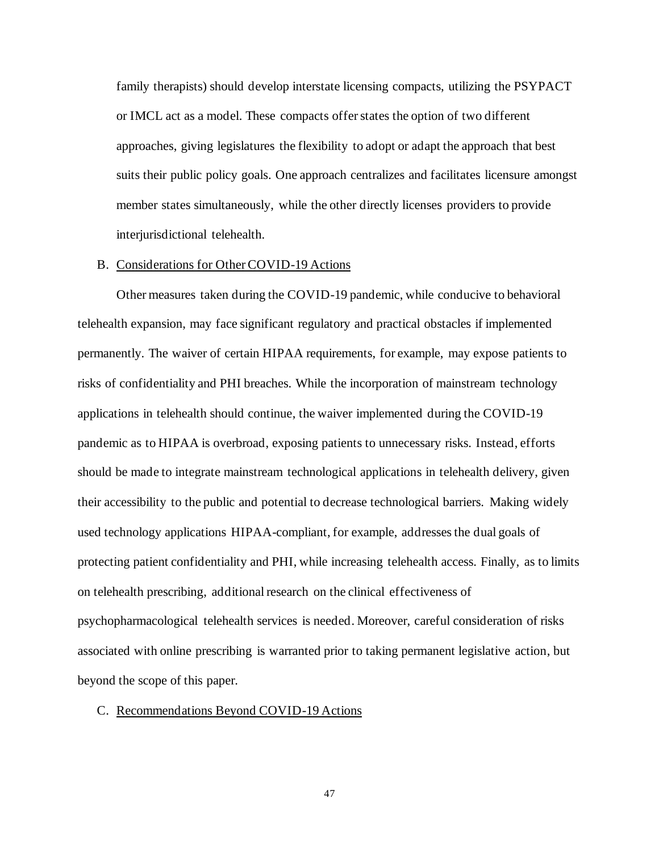family therapists) should develop interstate licensing compacts, utilizing the PSYPACT or IMCL act as a model. These compacts offer states the option of two different approaches, giving legislatures the flexibility to adopt or adapt the approach that best suits their public policy goals. One approach centralizes and facilitates licensure amongst member states simultaneously, while the other directly licenses providers to provide interjurisdictional telehealth.

#### B. Considerations for Other COVID-19 Actions

Other measures taken during the COVID-19 pandemic, while conducive to behavioral telehealth expansion, may face significant regulatory and practical obstacles if implemented permanently. The waiver of certain HIPAA requirements, for example, may expose patients to risks of confidentiality and PHI breaches. While the incorporation of mainstream technology applications in telehealth should continue, the waiver implemented during the COVID-19 pandemic as to HIPAA is overbroad, exposing patients to unnecessary risks. Instead, efforts should be made to integrate mainstream technological applications in telehealth delivery, given their accessibility to the public and potential to decrease technological barriers. Making widely used technology applications HIPAA-compliant, for example, addressesthe dual goals of protecting patient confidentiality and PHI, while increasing telehealth access. Finally, as to limits on telehealth prescribing, additional research on the clinical effectiveness of psychopharmacological telehealth services is needed. Moreover, careful consideration of risks associated with online prescribing is warranted prior to taking permanent legislative action, but beyond the scope of this paper.

#### C. Recommendations Beyond COVID-19 Actions

47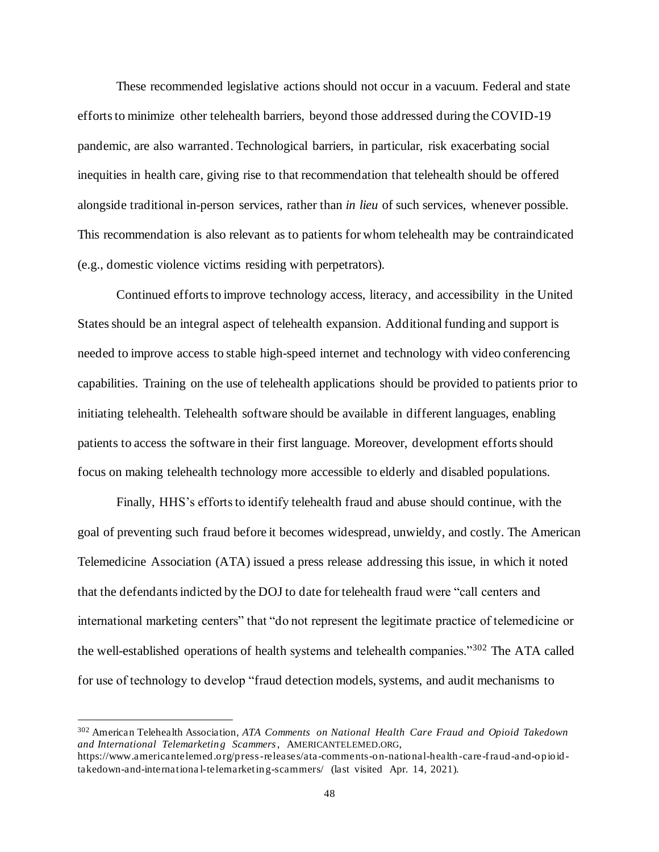These recommended legislative actions should not occur in a vacuum. Federal and state efforts to minimize other telehealth barriers, beyond those addressed during the COVID-19 pandemic, are also warranted. Technological barriers, in particular, risk exacerbating social inequities in health care, giving rise to that recommendation that telehealth should be offered alongside traditional in-person services, rather than *in lieu* of such services, whenever possible. This recommendation is also relevant as to patients for whom telehealth may be contraindicated (e.g., domestic violence victims residing with perpetrators).

Continued efforts to improve technology access, literacy, and accessibility in the United States should be an integral aspect of telehealth expansion. Additional funding and support is needed to improve access to stable high-speed internet and technology with video conferencing capabilities. Training on the use of telehealth applications should be provided to patients prior to initiating telehealth. Telehealth software should be available in different languages, enabling patients to access the software in their first language. Moreover, development efforts should focus on making telehealth technology more accessible to elderly and disabled populations.

Finally, HHS's efforts to identify telehealth fraud and abuse should continue, with the goal of preventing such fraud before it becomes widespread, unwieldy, and costly. The American Telemedicine Association (ATA) issued a press release addressing this issue, in which it noted that the defendants indicted by the DOJ to date for telehealth fraud were "call centers and international marketing centers" that "do not represent the legitimate practice of telemedicine or the well-established operations of health systems and telehealth companies."<sup>302</sup> The ATA called for use of technology to develop "fraud detection models, systems, and audit mechanisms to

<sup>302</sup> American Telehealth Association, *ATA Comments on National Health Care Fraud and Opioid Takedown and International Telemarketing Scammers*, AMERICANTELEMED.ORG, https://www.americantelemed.org/press-releases/ata-comments-on-national-health-care-f raud-and-opioid-

takedown-and-internationa l-telemarketing-scammers/ (last visited Apr. 14, 2021).